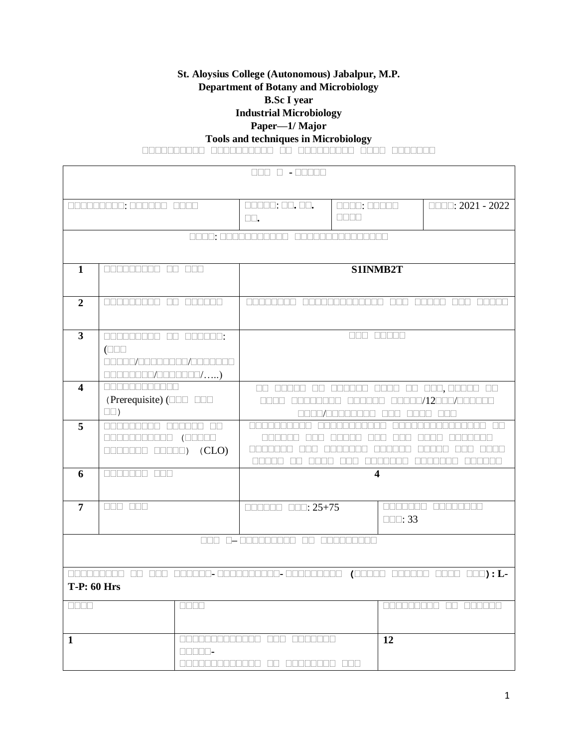### **St. Aloysius College (Autonomous) Jabalpur, M.P. Department of Botany and Microbiology B.Sc I year**

**Industrial Microbiology**

# **Paper—1/ Major**

**Tools and techniques in Microbiology**

**सससससससससस सससससससससस सस ससससससससस सससस ससससससस**

|                                                                   | 000000000: 000000 0000                                                                      |                                                                                                                      | $\square\square\square\square\square$ ; $\square\square$ , $\square\square$ ,                                        | $\Box\Box\Box\Box$ $\Box\Box\Box\Box$             | $\Box$ $\Box$ : 2021 - 2022                        |  |
|-------------------------------------------------------------------|---------------------------------------------------------------------------------------------|----------------------------------------------------------------------------------------------------------------------|----------------------------------------------------------------------------------------------------------------------|---------------------------------------------------|----------------------------------------------------|--|
|                                                                   |                                                                                             |                                                                                                                      | $\square\square$ .                                                                                                   | <b>REBE</b>                                       |                                                    |  |
|                                                                   |                                                                                             |                                                                                                                      | <u> ANAN: ANANANANANAN ANANANANANANAN</u>                                                                            |                                                   |                                                    |  |
|                                                                   |                                                                                             |                                                                                                                      |                                                                                                                      |                                                   |                                                    |  |
| 1                                                                 | 000000000 00 000                                                                            |                                                                                                                      |                                                                                                                      | S1INMB2T                                          |                                                    |  |
|                                                                   |                                                                                             |                                                                                                                      |                                                                                                                      |                                                   |                                                    |  |
| $\overline{2}$                                                    | 000000000 00 000000                                                                         |                                                                                                                      | <u>FINDER EN 1999 EN 1999 EN 1999 EN 1999 EN 1999 EN 1999 EN 1999 EN 1999 EN 1999 EN 1999 EN 1999 EN 1999 EN 199</u> | <u> E E E E E E E E E E E E E </u><br><u>NULL</u> | <u>FIFIFITI T</u><br><u>NULL</u><br><u>FRANTIN</u> |  |
|                                                                   |                                                                                             |                                                                                                                      |                                                                                                                      |                                                   |                                                    |  |
| $\mathbf{3}$                                                      |                                                                                             |                                                                                                                      |                                                                                                                      | 888 88888                                         |                                                    |  |
|                                                                   | $(\Box \Box \Box$                                                                           |                                                                                                                      |                                                                                                                      |                                                   |                                                    |  |
|                                                                   | 00000/000000000/0000000                                                                     |                                                                                                                      |                                                                                                                      |                                                   |                                                    |  |
|                                                                   | $\Box \Box \Box \Box \Box \Box \Box \Box / \Box \Box \Box \Box \Box \Box \Box / \ldots . )$ |                                                                                                                      |                                                                                                                      |                                                   |                                                    |  |
| $\overline{\mathbf{4}}$                                           | <b>REBERHERE</b>                                                                            |                                                                                                                      |                                                                                                                      | 00 00000 00 000000 0000 00 000,00000 00           |                                                    |  |
|                                                                   | (Prerequisite) ( $\Box$ $\Box$ $\Box$ $\Box$ $\Box$                                         |                                                                                                                      | 00000/12000/000000<br><b>FRAGE REAL</b><br><u>FINALLE</u>                                                            |                                                   |                                                    |  |
| $\square$ )                                                       |                                                                                             | NN NATI<br><b>NNN</b>                                                                                                |                                                                                                                      |                                                   |                                                    |  |
| 5<br><b>REFERENCE</b><br><b>ANTARA AR</b>                         |                                                                                             | nn nn nn<br>nn nn nn n                                                                                               |                                                                                                                      |                                                   |                                                    |  |
| $\Box \Box \Box \Box \Box \Box \Box \Box \Box \Box ) \quad (CLO)$ |                                                                                             |                                                                                                                      |                                                                                                                      |                                                   |                                                    |  |
|                                                                   |                                                                                             |                                                                                                                      | nnon on<br><b>REBERED</b><br><b>REFERE</b><br><u>Finish Finish </u><br><u>Finn ann a</u>                             |                                                   |                                                    |  |
| 6                                                                 | 0000000 000                                                                                 |                                                                                                                      |                                                                                                                      | $\overline{\mathbf{4}}$                           |                                                    |  |
|                                                                   |                                                                                             |                                                                                                                      |                                                                                                                      |                                                   |                                                    |  |
| $\overline{7}$                                                    |                                                                                             |                                                                                                                      | $\Box \Box \Box \Box \Box \Box \Box \Box : 25 + 75$                                                                  |                                                   | 0000000 00000000                                   |  |
|                                                                   |                                                                                             |                                                                                                                      |                                                                                                                      | $\square\square\square$ : 33                      |                                                    |  |
|                                                                   |                                                                                             |                                                                                                                      |                                                                                                                      |                                                   |                                                    |  |
|                                                                   |                                                                                             |                                                                                                                      | 000 0-000000000 00 000000000                                                                                         |                                                   |                                                    |  |
|                                                                   |                                                                                             |                                                                                                                      |                                                                                                                      |                                                   |                                                    |  |
|                                                                   |                                                                                             |                                                                                                                      |                                                                                                                      |                                                   |                                                    |  |
| <b>T-P: 60 Hrs</b>                                                |                                                                                             |                                                                                                                      |                                                                                                                      |                                                   |                                                    |  |
| ONNE                                                              |                                                                                             | $\Box$                                                                                                               |                                                                                                                      |                                                   | anananan an ananan                                 |  |
|                                                                   |                                                                                             |                                                                                                                      |                                                                                                                      |                                                   |                                                    |  |
| $\mathbf{1}$                                                      |                                                                                             | <u>FRANCISCO DE LA PROPIA DI INDIANA E LA PROPIA DI LA PROPIA DI LA PROPIA DI LA PROPIA DI LA PROPIA DI LA PROPI</u> | FIELD FIELD FIELD                                                                                                    | 12                                                |                                                    |  |
|                                                                   |                                                                                             | $\Box$ $\Box$ $\Box$ $\Box$ $\Box$                                                                                   |                                                                                                                      |                                                   |                                                    |  |
|                                                                   |                                                                                             | n na na n<br>TANA 11 I                                                                                               | <b>REBEER BEE</b><br>$\Box$                                                                                          |                                                   |                                                    |  |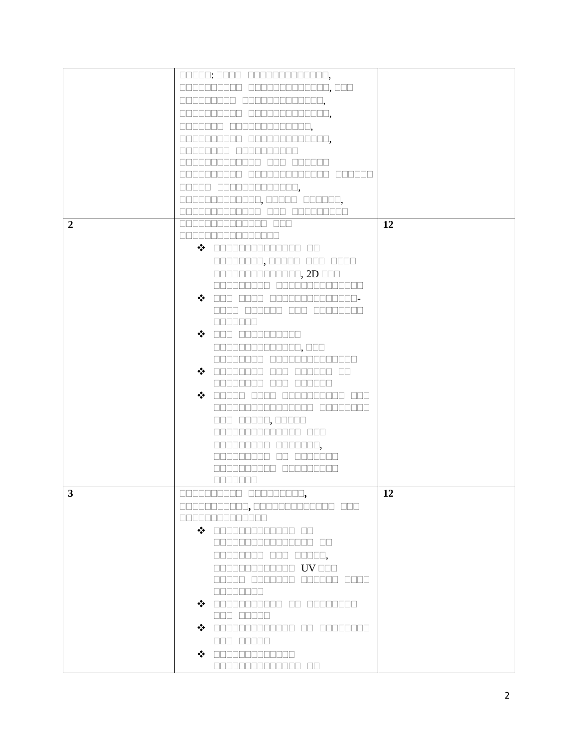|                | 00000: 0000 0000000000000,                                                                                                                                                                                                                                                                                                                                                                                                                            |    |
|----------------|-------------------------------------------------------------------------------------------------------------------------------------------------------------------------------------------------------------------------------------------------------------------------------------------------------------------------------------------------------------------------------------------------------------------------------------------------------|----|
|                | 0000000000 0000000000000,000                                                                                                                                                                                                                                                                                                                                                                                                                          |    |
|                | 000000000 0000000000000.                                                                                                                                                                                                                                                                                                                                                                                                                              |    |
|                | 0000000000 00000000000000,                                                                                                                                                                                                                                                                                                                                                                                                                            |    |
|                |                                                                                                                                                                                                                                                                                                                                                                                                                                                       |    |
|                | 0000000 0000000000000,                                                                                                                                                                                                                                                                                                                                                                                                                                |    |
|                | 0000000000000,<br>.                                                                                                                                                                                                                                                                                                                                                                                                                                   |    |
|                | $\mathbb{R}$                                                                                                                                                                                                                                                                                                                                                                                                                                          |    |
|                | ini ni mini ni mini ni m                                                                                                                                                                                                                                                                                                                                                                                                                              |    |
|                | وموادات والمواد والماح والمادا                                                                                                                                                                                                                                                                                                                                                                                                                        |    |
|                | 00000 0000000000000,                                                                                                                                                                                                                                                                                                                                                                                                                                  |    |
|                | 1000000,00000 000000,                                                                                                                                                                                                                                                                                                                                                                                                                                 |    |
|                | OOD OODDO<br>nn nn<br>$\Box$                                                                                                                                                                                                                                                                                                                                                                                                                          |    |
| $\overline{2}$ | an an an an an an an a                                                                                                                                                                                                                                                                                                                                                                                                                                | 12 |
|                |                                                                                                                                                                                                                                                                                                                                                                                                                                                       |    |
|                | $\clubsuit$ cooperational co                                                                                                                                                                                                                                                                                                                                                                                                                          |    |
|                |                                                                                                                                                                                                                                                                                                                                                                                                                                                       |    |
|                | 00000000,00000 000 0000                                                                                                                                                                                                                                                                                                                                                                                                                               |    |
|                | 00000000000000, 2D 000                                                                                                                                                                                                                                                                                                                                                                                                                                |    |
|                | la alama a shekar<br>واواه والمام والماري والماري                                                                                                                                                                                                                                                                                                                                                                                                     |    |
|                | $\clubsuit$ on one commonitore.                                                                                                                                                                                                                                                                                                                                                                                                                       |    |
|                | FIFITH FIFITH FIFIT<br>.                                                                                                                                                                                                                                                                                                                                                                                                                              |    |
|                | <u>FINNER FINNER </u>                                                                                                                                                                                                                                                                                                                                                                                                                                 |    |
|                | $\hat{P}$ des cooperations                                                                                                                                                                                                                                                                                                                                                                                                                            |    |
|                | 00000000000000,000                                                                                                                                                                                                                                                                                                                                                                                                                                    |    |
|                | <u>Finning and </u><br>nn n<br>.                                                                                                                                                                                                                                                                                                                                                                                                                      |    |
|                | $\hat{P}$ and defined $\hat{P}$<br>nnn i<br><u>an manan an</u>                                                                                                                                                                                                                                                                                                                                                                                        |    |
|                | nnn i<br><b>RANDARI</b><br>isisisisisisi                                                                                                                                                                                                                                                                                                                                                                                                              |    |
|                | $\hat{P}$ decode energy<br><u>in an an ais</u>                                                                                                                                                                                                                                                                                                                                                                                                        |    |
|                | 8888888888888888 88888888                                                                                                                                                                                                                                                                                                                                                                                                                             |    |
|                |                                                                                                                                                                                                                                                                                                                                                                                                                                                       |    |
|                | 000 00000,00000                                                                                                                                                                                                                                                                                                                                                                                                                                       |    |
|                | <u>anananananan ana</u>                                                                                                                                                                                                                                                                                                                                                                                                                               |    |
|                | 000000000 0000000,                                                                                                                                                                                                                                                                                                                                                                                                                                    |    |
|                | <u>uuaaaaa an</u><br>an din b                                                                                                                                                                                                                                                                                                                                                                                                                         |    |
|                | احتماها والمتحال والماها والماري                                                                                                                                                                                                                                                                                                                                                                                                                      |    |
|                | e de de d                                                                                                                                                                                                                                                                                                                                                                                                                                             |    |
| 3              | 00000000000 0000000000,                                                                                                                                                                                                                                                                                                                                                                                                                               | 12 |
|                | 00000000000,0000000000000 000                                                                                                                                                                                                                                                                                                                                                                                                                         |    |
|                | 8888888888888                                                                                                                                                                                                                                                                                                                                                                                                                                         |    |
|                | $\clubsuit$ concernation of                                                                                                                                                                                                                                                                                                                                                                                                                           |    |
|                | 0000000000000000 00                                                                                                                                                                                                                                                                                                                                                                                                                                   |    |
|                | 00000000 000 00000,                                                                                                                                                                                                                                                                                                                                                                                                                                   |    |
|                | <b>ODDOODDOODDOOD UV OOO</b>                                                                                                                                                                                                                                                                                                                                                                                                                          |    |
|                | anana ananana anana anan                                                                                                                                                                                                                                                                                                                                                                                                                              |    |
|                | <b>ODBE BEER</b>                                                                                                                                                                                                                                                                                                                                                                                                                                      |    |
|                | $\clubsuit$ andocoooooo oo aadaadaa                                                                                                                                                                                                                                                                                                                                                                                                                   |    |
|                | $\begin{tabular}{ c c c c } \hline \quadrule{0pt}{8pt} \quadrule{0pt}{8pt} \quadrule{0pt}{8pt} \quadrule{0pt}{8pt} \quadrule{0pt}{8pt} \quadrule{0pt}{8pt} \quadrule{0pt}{8pt} \quadrule{0pt}{8pt} \quadrule{0pt}{8pt} \quadrule{0pt}{8pt} \quadrule{0pt}{8pt} \quadrule{0pt}{8pt} \quadrule{0pt}{8pt} \quadrule{0pt}{8pt} \quadrule{0pt}{8pt} \quadrule{0pt}{8pt} \quadrule{0pt}{8pt} \quadrule{0pt}{8pt} \quadrule{0pt}{8pt} \quadrule{0pt}{8pt} \$ |    |
|                | $\clubsuit$ andoopedocon on accordo                                                                                                                                                                                                                                                                                                                                                                                                                   |    |
|                | 000 00000                                                                                                                                                                                                                                                                                                                                                                                                                                             |    |
|                |                                                                                                                                                                                                                                                                                                                                                                                                                                                       |    |
|                | $\hat{P}$ concernation $\hat{P}$                                                                                                                                                                                                                                                                                                                                                                                                                      |    |
|                | 00000000000000 00                                                                                                                                                                                                                                                                                                                                                                                                                                     |    |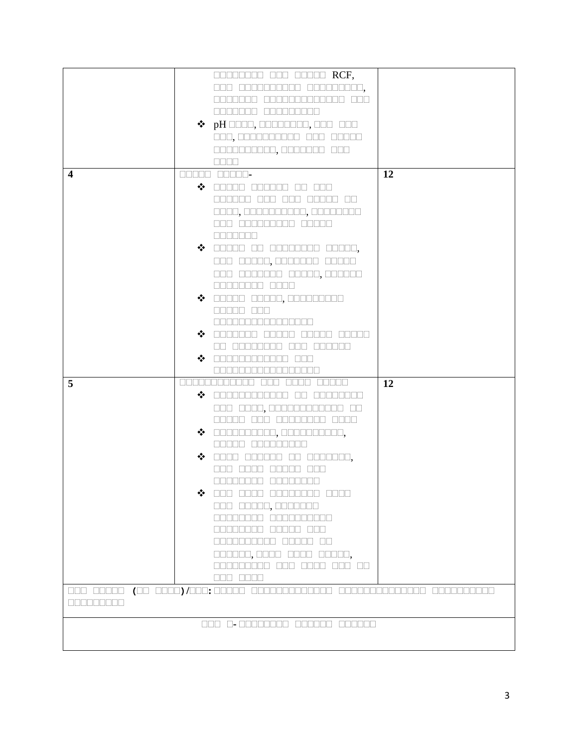|                  |   | <b>DEBELORE DE BELLE RCF,</b>                                                                             |    |
|------------------|---|-----------------------------------------------------------------------------------------------------------|----|
|                  |   | 000 0000000000 000000000,                                                                                 |    |
|                  |   | والمساحلة<br>i sin sin sin sin sin sin sin s                                                              |    |
|                  |   | <u>in secondo de la concelha</u>                                                                          |    |
|                  |   | $\diamond$ pH $\square\square\square$ , $\square\square\square\square\square\square\square\square\square$ |    |
|                  |   |                                                                                                           |    |
|                  |   | 000,0000000000 000 00000                                                                                  |    |
|                  |   | 0000000000,0000000 000                                                                                    |    |
|                  |   | $\Box$                                                                                                    |    |
| $\boldsymbol{4}$ |   | <b>BROOK BROOK-</b>                                                                                       | 12 |
|                  |   | $\clubsuit$ dood dooded on and                                                                            |    |
|                  |   | 88888 88<br>la a a a a a<br>$\mathbb{L}$                                                                  |    |
|                  |   | 0000, 0000000000, 00000000                                                                                |    |
|                  |   | 000 000000000 00000                                                                                       |    |
|                  |   |                                                                                                           |    |
|                  |   | <b>BBBBBBB</b>                                                                                            |    |
|                  |   | $\clubsuit$ and an according accor,                                                                       |    |
|                  |   | 000 00000,0000000 00000                                                                                   |    |
|                  |   | 000 0000000 00000,000000                                                                                  |    |
|                  |   | 00000000 0000                                                                                             |    |
|                  |   | $\clubsuit$ 00000 00000,000000000                                                                         |    |
|                  |   | <b>REBER REB</b>                                                                                          |    |
|                  |   | <u> E E E E E E E E E E E E E E E E E E </u>                                                              |    |
|                  |   |                                                                                                           |    |
|                  |   | $\hat{\mathbf{v}}$ in the matrix<br><u> 1988 - 1988 - 19</u><br>$\mathbf{L}$                              |    |
|                  |   | Film Film Finish Film<br>$\mathbb{H}$                                                                     |    |
|                  |   | $\hat{\bullet}$ order decrease $\hat{\bullet}$<br><b>TES</b>                                              |    |
|                  |   |                                                                                                           |    |
| 5                |   | الالحاظ الالحاظ الالحاظ الالحاظ<br><u>inin anan a</u><br><u>FFFFFF</u>                                    | 12 |
|                  |   | $\hat{\mathbf{z}}$ communication<br>$\Box\Box$<br><b>IND</b>                                              |    |
|                  |   | <u>isisisi memperakan sebagai penganan </u>                                                               |    |
|                  |   | 80000 000 00000000 0000                                                                                   |    |
|                  |   | $\clubsuit$ $\square$                                                                                     |    |
|                  |   | <b>REBEL BEBEEEE</b>                                                                                      |    |
|                  |   |                                                                                                           |    |
|                  |   | $\clubsuit$ does cooped on cooped,                                                                        |    |
|                  |   | nna nna a<br><u>FFREEL</u>                                                                                |    |
|                  |   | 88888888 8888888                                                                                          |    |
|                  | ❖ | 000 0000 00000000 0000                                                                                    |    |
|                  |   | 888 88888, 8888888                                                                                        |    |
|                  |   | 88888888 8888888888                                                                                       |    |
|                  |   | 00000000 00000 000                                                                                        |    |
|                  |   | 8888888888 88888 88                                                                                       |    |
|                  |   | 000000,0000 0000 00000,                                                                                   |    |
|                  |   | 000000000 000 0000 000 00                                                                                 |    |
|                  |   | 888 8888                                                                                                  |    |
|                  |   |                                                                                                           |    |
|                  |   |                                                                                                           |    |
| <b>REBERIER</b>  |   |                                                                                                           |    |
|                  |   | 000 0-00000000 000000 000000                                                                              |    |
|                  |   |                                                                                                           |    |
|                  |   |                                                                                                           |    |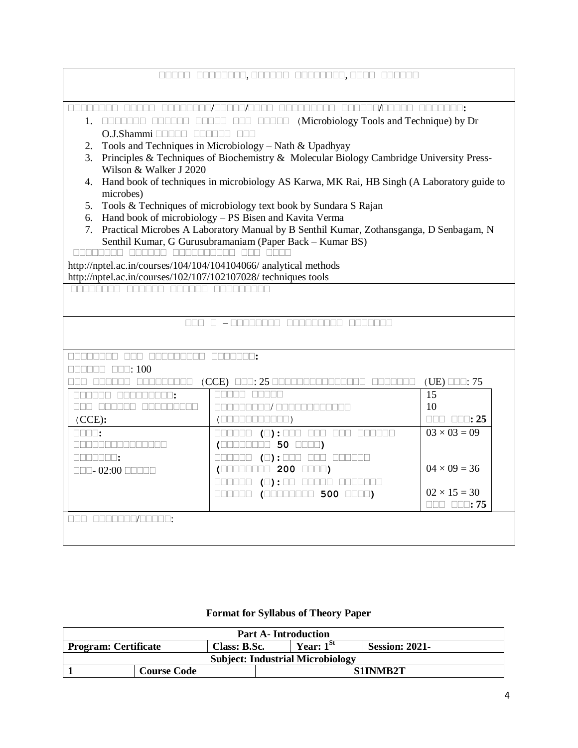| 88888 888888888/00007/0000<br><u>onono/anona</u><br><b>FIFT</b><br><u>INNAN A</u><br>NE E E E E E                                                                                                                                                                                                                                                                                                                                | <b>FRAMERIE:</b>                |  |  |  |
|----------------------------------------------------------------------------------------------------------------------------------------------------------------------------------------------------------------------------------------------------------------------------------------------------------------------------------------------------------------------------------------------------------------------------------|---------------------------------|--|--|--|
| (Microbiology Tools and Technique) by Dr<br>1. 0000000 000000 00000 000 00000                                                                                                                                                                                                                                                                                                                                                    |                                 |  |  |  |
| O.J.Shammi <b>harida</b> dheeda<br>$\Box \Box \Box$                                                                                                                                                                                                                                                                                                                                                                              |                                 |  |  |  |
| Tools and Techniques in Microbiology - Nath & Upadhyay<br>2.                                                                                                                                                                                                                                                                                                                                                                     |                                 |  |  |  |
| Principles & Techniques of Biochemistry & Molecular Biology Cambridge University Press-<br>3.                                                                                                                                                                                                                                                                                                                                    |                                 |  |  |  |
| Wilson & Walker J 2020                                                                                                                                                                                                                                                                                                                                                                                                           |                                 |  |  |  |
| 4. Hand book of techniques in microbiology AS Karwa, MK Rai, HB Singh (A Laboratory guide to                                                                                                                                                                                                                                                                                                                                     |                                 |  |  |  |
| microbes)                                                                                                                                                                                                                                                                                                                                                                                                                        |                                 |  |  |  |
| Tools & Techniques of microbiology text book by Sundara S Rajan<br>5.                                                                                                                                                                                                                                                                                                                                                            |                                 |  |  |  |
| 6. Hand book of microbiology – PS Bisen and Kavita Verma                                                                                                                                                                                                                                                                                                                                                                         |                                 |  |  |  |
| 7. Practical Microbes A Laboratory Manual by B Senthil Kumar, Zothansganga, D Senbagam, N                                                                                                                                                                                                                                                                                                                                        |                                 |  |  |  |
| Senthil Kumar, G Gurusubramaniam (Paper Back - Kumar BS)<br>ananana ananan anananana ana anan                                                                                                                                                                                                                                                                                                                                    |                                 |  |  |  |
| http://nptel.ac.in/courses/104/104/104104066/ analytical methods                                                                                                                                                                                                                                                                                                                                                                 |                                 |  |  |  |
| http://nptel.ac.in/courses/102/107/102107028/ techniques tools                                                                                                                                                                                                                                                                                                                                                                   |                                 |  |  |  |
| 00000000 000000 000000 00000000                                                                                                                                                                                                                                                                                                                                                                                                  |                                 |  |  |  |
|                                                                                                                                                                                                                                                                                                                                                                                                                                  |                                 |  |  |  |
|                                                                                                                                                                                                                                                                                                                                                                                                                                  |                                 |  |  |  |
|                                                                                                                                                                                                                                                                                                                                                                                                                                  |                                 |  |  |  |
|                                                                                                                                                                                                                                                                                                                                                                                                                                  |                                 |  |  |  |
| 00000000 000 000000000 0000000;                                                                                                                                                                                                                                                                                                                                                                                                  |                                 |  |  |  |
| $\Box \Box \Box \Box \Box \Box \Box \Box : 100$                                                                                                                                                                                                                                                                                                                                                                                  |                                 |  |  |  |
| $(CCE)$ $\square\square$ : 25 $\square$<br><u>seo aseseo aseseeaa</u><br><u>Finishini m</u>                                                                                                                                                                                                                                                                                                                                      | $(UE)$ $\Box$ : 75              |  |  |  |
| <b>RANDR</b><br>nnnn í<br>ARABER ARABERIA :                                                                                                                                                                                                                                                                                                                                                                                      | 15                              |  |  |  |
| 888 888888 888888888<br>a na mana na 177 an ama na mana na 1                                                                                                                                                                                                                                                                                                                                                                     | 10                              |  |  |  |
| (CCE):                                                                                                                                                                                                                                                                                                                                                                                                                           | $\Box \Box \Box$ $\Box \Box$ 25 |  |  |  |
| 000000 (0):000 000 000 000000<br>$\Box \Box \Box \Box$                                                                                                                                                                                                                                                                                                                                                                           | $03 \times 03 = 09$             |  |  |  |
| an an an an an an an an                                                                                                                                                                                                                                                                                                                                                                                                          |                                 |  |  |  |
| NNANA 11<br>$\begin{picture}(100,100) \put(0,0){\line(1,0){100}} \put(10,0){\line(1,0){100}} \put(10,0){\line(0,1){100}} \put(10,0){\line(0,1){100}} \put(10,0){\line(0,1){100}} \put(10,0){\line(0,1){100}} \put(10,0){\line(0,1){100}} \put(10,0){\line(0,1){100}} \put(10,0){\line(0,1){100}} \put(10,0){\line(0,1){100}} \put(10,0){\line(0,1){100$                                                                          |                                 |  |  |  |
| (                                                                                                                                                                                                                                                                                                                                                                                                                                | $04 \times 09 = 36$             |  |  |  |
| 000000 (0):00 00000 0000000                                                                                                                                                                                                                                                                                                                                                                                                      |                                 |  |  |  |
| $\begin{tabular}{c} \textbf{1} & \textbf{1} & \textbf{1} & \textbf{1} & \textbf{1} & \textbf{1} & \textbf{1} & \textbf{1} & \textbf{1} & \textbf{1} & \textbf{1} & \textbf{1} & \textbf{1} & \textbf{1} & \textbf{1} & \textbf{1} & \textbf{1} & \textbf{1} & \textbf{1} & \textbf{1} & \textbf{1} & \textbf{1} & \textbf{1} & \textbf{1} & \textbf{1} & \textbf{1} & \textbf{1} & \textbf{1} & \textbf{1} & \textbf{1} & \text$ | $02 \times 15 = 30$             |  |  |  |
|                                                                                                                                                                                                                                                                                                                                                                                                                                  |                                 |  |  |  |
| <u>nna annonomianome:</u>                                                                                                                                                                                                                                                                                                                                                                                                        |                                 |  |  |  |
|                                                                                                                                                                                                                                                                                                                                                                                                                                  |                                 |  |  |  |

# **Format for Syllabus of Theory Paper**

| <b>Part A-Introduction</b>                                                             |  |  |  |  |  |
|----------------------------------------------------------------------------------------|--|--|--|--|--|
| Year: $1^{st}$<br><b>Session: 2021-</b><br><b>Program: Certificate</b><br>Class: B.Sc. |  |  |  |  |  |
| <b>Subject: Industrial Microbiology</b>                                                |  |  |  |  |  |
| S1INMB2T<br><b>Course Code</b>                                                         |  |  |  |  |  |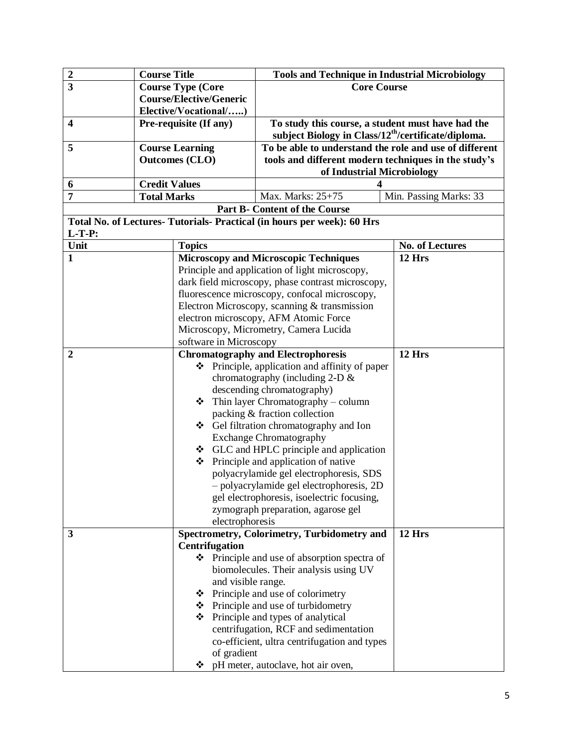| $\boldsymbol{2}$<br><b>Course Title</b><br><b>Tools and Technique in Industrial Microbiology</b>       |                        |  |
|--------------------------------------------------------------------------------------------------------|------------------------|--|
| $\overline{3}$<br><b>Course Type (Core</b><br><b>Core Course</b>                                       |                        |  |
| <b>Course/Elective/Generic</b>                                                                         |                        |  |
| Elective/Vocational/)                                                                                  |                        |  |
| $\overline{\mathbf{4}}$<br>To study this course, a student must have had the<br>Pre-requisite (If any) |                        |  |
| subject Biology in Class/12 <sup>th</sup> /certificate/diploma.                                        |                        |  |
| To be able to understand the role and use of different<br>5<br><b>Course Learning</b>                  |                        |  |
| tools and different modern techniques in the study's<br><b>Outcomes (CLO)</b>                          |                        |  |
| of Industrial Microbiology                                                                             |                        |  |
| <b>Credit Values</b><br>6<br>4                                                                         |                        |  |
| Max. Marks: 25+75<br>7<br><b>Total Marks</b>                                                           | Min. Passing Marks: 33 |  |
| <b>Part B- Content of the Course</b>                                                                   |                        |  |
| Total No. of Lectures- Tutorials- Practical (in hours per week): 60 Hrs                                |                        |  |
| $L-T-P:$                                                                                               |                        |  |
| Unit<br><b>Topics</b>                                                                                  | No. of Lectures        |  |
| <b>Microscopy and Microscopic Techniques</b><br>12 Hrs<br>1                                            |                        |  |
| Principle and application of light microscopy,                                                         |                        |  |
| dark field microscopy, phase contrast microscopy,                                                      |                        |  |
| fluorescence microscopy, confocal microscopy,                                                          |                        |  |
| Electron Microscopy, scanning & transmission                                                           |                        |  |
| electron microscopy, AFM Atomic Force                                                                  |                        |  |
| Microscopy, Micrometry, Camera Lucida                                                                  |                        |  |
| software in Microscopy                                                                                 |                        |  |
| 12 Hrs<br><b>Chromatography and Electrophoresis</b><br>$\boldsymbol{2}$                                |                        |  |
| $\bullet$ Principle, application and affinity of paper                                                 |                        |  |
| chromatography (including $2-D \&$                                                                     |                        |  |
| descending chromatography)                                                                             |                        |  |
| Thin layer Chromatography - column<br>❖                                                                |                        |  |
| packing & fraction collection                                                                          |                        |  |
| ❖ Gel filtration chromatography and Ion                                                                |                        |  |
| <b>Exchange Chromatography</b>                                                                         |                        |  |
| GLC and HPLC principle and application                                                                 |                        |  |
| ❖ Principle and application of native                                                                  |                        |  |
| polyacrylamide gel electrophoresis, SDS                                                                |                        |  |
| - polyacrylamide gel electrophoresis, 2D                                                               |                        |  |
| gel electrophoresis, isoelectric focusing,                                                             |                        |  |
| zymograph preparation, agarose gel                                                                     |                        |  |
| electrophoresis                                                                                        |                        |  |
| Spectrometry, Colorimetry, Turbidometry and<br>12 Hrs<br>3                                             |                        |  |
| <b>Centrifugation</b>                                                                                  |                        |  |
| $\bullet$ Principle and use of absorption spectra of                                                   |                        |  |
| biomolecules. Their analysis using UV                                                                  |                        |  |
| and visible range.                                                                                     |                        |  |
| ❖ Principle and use of colorimetry                                                                     |                        |  |
| ❖ Principle and use of turbidometry                                                                    |                        |  |
| ❖ Principle and types of analytical                                                                    |                        |  |
| centrifugation, RCF and sedimentation                                                                  |                        |  |
| co-efficient, ultra centrifugation and types                                                           |                        |  |
| of gradient                                                                                            |                        |  |
| ❖ pH meter, autoclave, hot air oven,                                                                   |                        |  |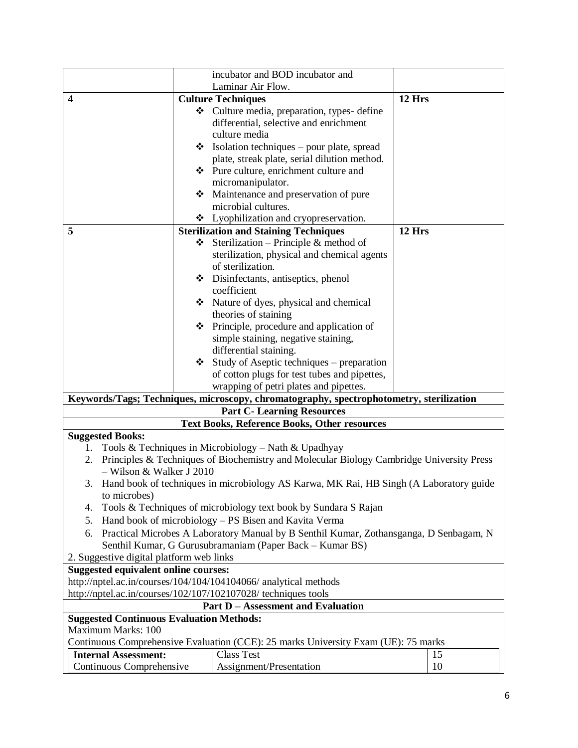|                                                                                              | incubator and BOD incubator and                                                          |        |  |  |  |
|----------------------------------------------------------------------------------------------|------------------------------------------------------------------------------------------|--------|--|--|--|
|                                                                                              | Laminar Air Flow.                                                                        |        |  |  |  |
| <b>Culture Techniques</b><br>$\boldsymbol{4}$                                                | 12 Hrs                                                                                   |        |  |  |  |
|                                                                                              | Culture media, preparation, types-define                                                 |        |  |  |  |
|                                                                                              | differential, selective and enrichment                                                   |        |  |  |  |
|                                                                                              | culture media                                                                            |        |  |  |  |
|                                                                                              | $\bullet$ Isolation techniques – pour plate, spread                                      |        |  |  |  |
|                                                                                              | plate, streak plate, serial dilution method.                                             |        |  |  |  |
|                                                                                              | ❖ Pure culture, enrichment culture and                                                   |        |  |  |  |
|                                                                                              | micromanipulator.                                                                        |        |  |  |  |
|                                                                                              | Maintenance and preservation of pure                                                     |        |  |  |  |
|                                                                                              | microbial cultures.                                                                      |        |  |  |  |
|                                                                                              | * Lyophilization and cryopreservation.                                                   |        |  |  |  |
| 5                                                                                            | <b>Sterilization and Staining Techniques</b>                                             | 12 Hrs |  |  |  |
| ❖                                                                                            | Sterilization - Principle & method of                                                    |        |  |  |  |
|                                                                                              | sterilization, physical and chemical agents                                              |        |  |  |  |
|                                                                                              | of sterilization.                                                                        |        |  |  |  |
|                                                                                              | Disinfectants, antiseptics, phenol                                                       |        |  |  |  |
|                                                                                              | coefficient                                                                              |        |  |  |  |
|                                                                                              | Nature of dyes, physical and chemical                                                    |        |  |  |  |
|                                                                                              | theories of staining                                                                     |        |  |  |  |
|                                                                                              | ❖ Principle, procedure and application of                                                |        |  |  |  |
|                                                                                              | simple staining, negative staining,                                                      |        |  |  |  |
|                                                                                              | differential staining.                                                                   |        |  |  |  |
|                                                                                              | $\div$ Study of Aseptic techniques – preparation                                         |        |  |  |  |
|                                                                                              | of cotton plugs for test tubes and pipettes,                                             |        |  |  |  |
|                                                                                              | wrapping of petri plates and pipettes.                                                   |        |  |  |  |
|                                                                                              | Keywords/Tags; Techniques, microscopy, chromatography, spectrophotometry, sterilization  |        |  |  |  |
|                                                                                              | <b>Part C- Learning Resources</b>                                                        |        |  |  |  |
| <b>Text Books, Reference Books, Other resources</b><br><b>Suggested Books:</b>               |                                                                                          |        |  |  |  |
| 1.                                                                                           | Tools & Techniques in Microbiology – Nath & Upadhyay                                     |        |  |  |  |
| 2.                                                                                           | Principles & Techniques of Biochemistry and Molecular Biology Cambridge University Press |        |  |  |  |
| $-$ Wilson & Walker J 2010                                                                   |                                                                                          |        |  |  |  |
| Hand book of techniques in microbiology AS Karwa, MK Rai, HB Singh (A Laboratory guide<br>3. |                                                                                          |        |  |  |  |
| to microbes)                                                                                 |                                                                                          |        |  |  |  |
| 4.                                                                                           | Tools & Techniques of microbiology text book by Sundara S Rajan                          |        |  |  |  |
| 5.                                                                                           | Hand book of microbiology – PS Bisen and Kavita Verma                                    |        |  |  |  |
| 6.                                                                                           | Practical Microbes A Laboratory Manual by B Senthil Kumar, Zothansganga, D Senbagam, N   |        |  |  |  |
|                                                                                              | Senthil Kumar, G Gurusubramaniam (Paper Back - Kumar BS)                                 |        |  |  |  |
| 2. Suggestive digital platform web links                                                     |                                                                                          |        |  |  |  |
| <b>Suggested equivalent online courses:</b>                                                  |                                                                                          |        |  |  |  |
| http://nptel.ac.in/courses/104/104/104104066/ analytical methods                             |                                                                                          |        |  |  |  |
| http://nptel.ac.in/courses/102/107/102107028/ techniques tools                               |                                                                                          |        |  |  |  |
| <b>Part D - Assessment and Evaluation</b>                                                    |                                                                                          |        |  |  |  |
| <b>Suggested Continuous Evaluation Methods:</b>                                              |                                                                                          |        |  |  |  |
| Maximum Marks: 100                                                                           |                                                                                          |        |  |  |  |
|                                                                                              | Continuous Comprehensive Evaluation (CCE): 25 marks University Exam (UE): 75 marks       |        |  |  |  |
| <b>Internal Assessment:</b>                                                                  | <b>Class Test</b>                                                                        | 15     |  |  |  |
| Continuous Comprehensive                                                                     | Assignment/Presentation                                                                  | 10     |  |  |  |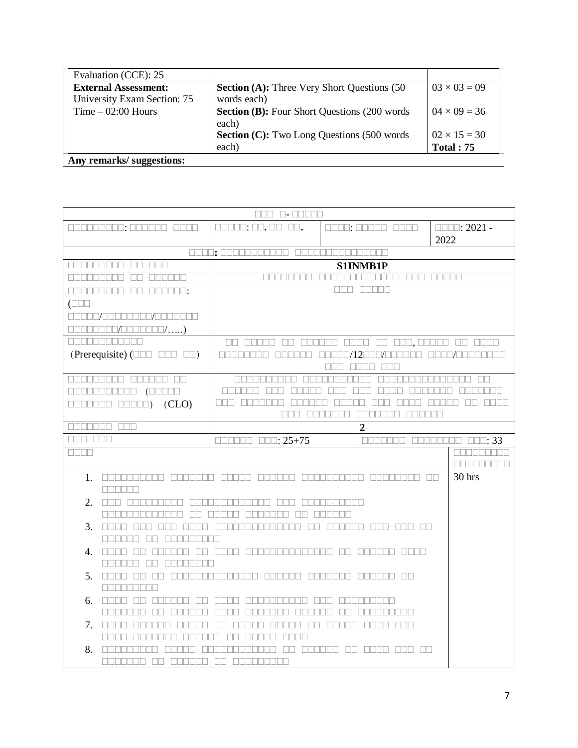| Evaluation (CCE): 25        |                                                      |                     |
|-----------------------------|------------------------------------------------------|---------------------|
| <b>External Assessment:</b> | <b>Section (A):</b> Three Very Short Questions (50)  | $03 \times 03 = 09$ |
| University Exam Section: 75 | words each)                                          |                     |
| $Time - 02:00$ Hours        | <b>Section (B):</b> Four Short Questions (200 words) | $04 \times 09 = 36$ |
|                             | each)                                                |                     |
|                             | <b>Section (C):</b> Two Long Questions (500 words    | $02 \times 15 = 30$ |
|                             | each)                                                | <b>Total: 75</b>    |
| Any remarks/ suggestions:   |                                                      |                     |

|                    | 000 0-00000                                                                                                                                                                                                                                                                                                                                                                                                                                                                    |                                                                              |                                                  |                                                                                                                      |  |
|--------------------|--------------------------------------------------------------------------------------------------------------------------------------------------------------------------------------------------------------------------------------------------------------------------------------------------------------------------------------------------------------------------------------------------------------------------------------------------------------------------------|------------------------------------------------------------------------------|--------------------------------------------------|----------------------------------------------------------------------------------------------------------------------|--|
|                    | 000000000: 000000 0000                                                                                                                                                                                                                                                                                                                                                                                                                                                         | $\Box \Box \Box \Box \Box$ ; $\Box \Box$ , $\Box \Box$                       | 0000: 00000 0000                                 | $\Box$ $\Box$ : 2021 -                                                                                               |  |
|                    |                                                                                                                                                                                                                                                                                                                                                                                                                                                                                |                                                                              |                                                  | 2022                                                                                                                 |  |
|                    |                                                                                                                                                                                                                                                                                                                                                                                                                                                                                | 0000; 00000000000 000000000000000                                            |                                                  |                                                                                                                      |  |
| <u>FIFITI TELL</u> | nn nnn                                                                                                                                                                                                                                                                                                                                                                                                                                                                         |                                                                              | S1INMB1P                                         |                                                                                                                      |  |
| والمام وامتماماتها | $\Box$<br><u>FINALLE</u>                                                                                                                                                                                                                                                                                                                                                                                                                                                       | <b>RANDRAN</b>                                                               | ananananana ana anan                             |                                                                                                                      |  |
|                    | 000000000 00 000000:                                                                                                                                                                                                                                                                                                                                                                                                                                                           |                                                                              | nnn nnnn                                         |                                                                                                                      |  |
| $(\Box \Box \Box$  |                                                                                                                                                                                                                                                                                                                                                                                                                                                                                |                                                                              |                                                  |                                                                                                                      |  |
|                    | 00000/000000000/0000000                                                                                                                                                                                                                                                                                                                                                                                                                                                        |                                                                              |                                                  |                                                                                                                      |  |
|                    | $\Box \Box \Box \Box \Box \Box \Box \Box / \Box \Box \Box \Box \Box \Box \Box / \ldots . )$                                                                                                                                                                                                                                                                                                                                                                                    |                                                                              |                                                  |                                                                                                                      |  |
|                    | <u> DE ESEBECITO </u>                                                                                                                                                                                                                                                                                                                                                                                                                                                          |                                                                              |                                                  |                                                                                                                      |  |
|                    | (Prerequisite) $(\Box \Box \Box \Box \Box \Box \Box \Box)$                                                                                                                                                                                                                                                                                                                                                                                                                     |                                                                              | 00000000 000000 00000/12000/000000 0000/00000000 |                                                                                                                      |  |
|                    |                                                                                                                                                                                                                                                                                                                                                                                                                                                                                |                                                                              | FIELD FIELD FIELD                                |                                                                                                                      |  |
|                    | 000000000 000000 00                                                                                                                                                                                                                                                                                                                                                                                                                                                            | MARRA ERRI                                                                   | <u>Find and and an</u>                           | <u>FRANCISCO DE LA CARDIANA DE LA CARDIANA DE LA CARDIANA EN EL CARDIAN EL CARDIAN EL CARDIAN EL CARDIAN EL CARD</u> |  |
|                    | $\begin{tabular}{c} \multicolumn{1}{c}{\textbf{1}}\\ \multicolumn{1}{c}{\textbf{1}}\\ \multicolumn{1}{c}{\textbf{1}}\\ \multicolumn{1}{c}{\textbf{1}}\\ \multicolumn{1}{c}{\textbf{1}}\\ \multicolumn{1}{c}{\textbf{1}}\\ \multicolumn{1}{c}{\textbf{1}}\\ \multicolumn{1}{c}{\textbf{1}}\\ \multicolumn{1}{c}{\textbf{1}}\\ \multicolumn{1}{c}{\textbf{1}}\\ \multicolumn{1}{c}{\textbf{1}}\\ \multicolumn{1}{c}{\textbf{1}}\\ \multicolumn{1}{c}{\textbf{1}}\\ \multicolumn$ | <u>la alama sa sas</u>                                                       | <u>noona oon oon oona</u>                        | <u>FRANCIA ANDRONA</u>                                                                                               |  |
|                    | $\Box \Box \Box \Box \Box \Box \Box \Box \Box ) \quad (CLO)$                                                                                                                                                                                                                                                                                                                                                                                                                   | 000 0000 00000 00 0000<br><u>Fine Entrement</u><br><u> La Barta La Barta</u> |                                                  |                                                                                                                      |  |
|                    |                                                                                                                                                                                                                                                                                                                                                                                                                                                                                | NN T                                                                         | E E E E E E E E E E E E E<br><u>is se se se</u>  |                                                                                                                      |  |
|                    | 0000000 000                                                                                                                                                                                                                                                                                                                                                                                                                                                                    |                                                                              | $\boldsymbol{2}$                                 |                                                                                                                      |  |
| 888 888            |                                                                                                                                                                                                                                                                                                                                                                                                                                                                                | $\Box \Box \Box \Box \Box \Box \Box : 25 + 75$                               |                                                  | $\Box \Box \Box \Box \Box \Box \Box$<br>888888888                                                                    |  |
|                    | $\Box \Box \Box \Box$                                                                                                                                                                                                                                                                                                                                                                                                                                                          |                                                                              |                                                  | <b>OR BEREED</b>                                                                                                     |  |
| $1_{-}$            |                                                                                                                                                                                                                                                                                                                                                                                                                                                                                |                                                                              |                                                  | $30$ hrs                                                                                                             |  |
|                    | <b>BELEE</b>                                                                                                                                                                                                                                                                                                                                                                                                                                                                   |                                                                              |                                                  |                                                                                                                      |  |
|                    | $2.$ case accompando acompandadamente ano acompando                                                                                                                                                                                                                                                                                                                                                                                                                            |                                                                              |                                                  |                                                                                                                      |  |
|                    |                                                                                                                                                                                                                                                                                                                                                                                                                                                                                | <u>nununununun nu nunun nununun nu nununu</u>                                |                                                  |                                                                                                                      |  |
| 3.                 |                                                                                                                                                                                                                                                                                                                                                                                                                                                                                |                                                                              |                                                  |                                                                                                                      |  |
|                    | ANDRO ON ANDRONAD                                                                                                                                                                                                                                                                                                                                                                                                                                                              |                                                                              |                                                  |                                                                                                                      |  |
|                    |                                                                                                                                                                                                                                                                                                                                                                                                                                                                                |                                                                              |                                                  |                                                                                                                      |  |
|                    | 888888 88 88888888                                                                                                                                                                                                                                                                                                                                                                                                                                                             |                                                                              |                                                  |                                                                                                                      |  |
| 5.                 |                                                                                                                                                                                                                                                                                                                                                                                                                                                                                |                                                                              |                                                  |                                                                                                                      |  |
|                    | <b>RECEBERE</b>                                                                                                                                                                                                                                                                                                                                                                                                                                                                |                                                                              |                                                  |                                                                                                                      |  |
| 6.                 | <u>anno do mondo do </u><br><u>FIFITH FIFITH THE FIFIT LITTLE STATE OF THE STATE OF THE STATE OF THE STATE OF THE STATE OF THE STATE OF THE S</u><br><u> La Biologia de la Biologia de la Biologia de la Biologia de la Biologia de la Biologia de la Biologia de la B</u>                                                                                                                                                                                                     |                                                                              |                                                  |                                                                                                                      |  |
|                    |                                                                                                                                                                                                                                                                                                                                                                                                                                                                                |                                                                              |                                                  |                                                                                                                      |  |
|                    |                                                                                                                                                                                                                                                                                                                                                                                                                                                                                |                                                                              |                                                  |                                                                                                                      |  |
|                    | <u>Fine a fine de la contra de la p</u>                                                                                                                                                                                                                                                                                                                                                                                                                                        | <u>INN DI L</u>                                                              |                                                  |                                                                                                                      |  |
| 8.                 | <u>Finisher an Fil</u>                                                                                                                                                                                                                                                                                                                                                                                                                                                         |                                                                              |                                                  |                                                                                                                      |  |
|                    | ANANANA AN ANANA AN ANANANA                                                                                                                                                                                                                                                                                                                                                                                                                                                    |                                                                              |                                                  |                                                                                                                      |  |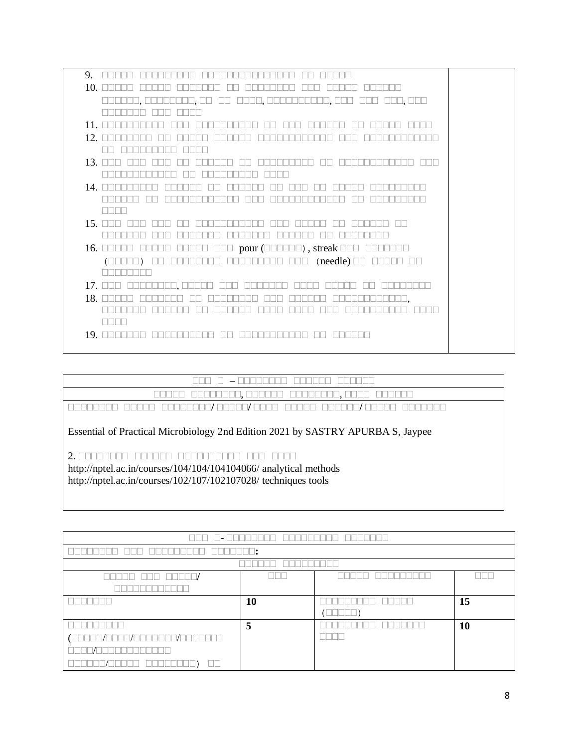| 9.                                                                                                                                                                                                  |  |
|-----------------------------------------------------------------------------------------------------------------------------------------------------------------------------------------------------|--|
| $10.$ $\Box$ $\Box$ $\Box$                                                                                                                                                                          |  |
|                                                                                                                                                                                                     |  |
|                                                                                                                                                                                                     |  |
| $11. \square$<br>$\Box$<br>TELET<br>. ELET                                                                                                                                                          |  |
| 12. $\square$                                                                                                                                                                                       |  |
|                                                                                                                                                                                                     |  |
| $13$ $\Box$<br>╖┌<br>ПO                                                                                                                                                                             |  |
|                                                                                                                                                                                                     |  |
| 14. $\square$                                                                                                                                                                                       |  |
|                                                                                                                                                                                                     |  |
| nn n                                                                                                                                                                                                |  |
| 15. $\square \square$                                                                                                                                                                               |  |
|                                                                                                                                                                                                     |  |
| <b>ODDDD OOD pour (ODDDDD), streak DOD ODDDDDD</b><br>$16.$ $\Box$<br>∐                                                                                                                             |  |
| $( \Box \Box \Box \Box ) \quad \Box \Box \quad \Box \Box \Box \Box \Box \Box \Box \Box \quad \Box \Box \Box \quad ( \text{need} \text{le} ) \; \Box \Box \quad \Box \Box \Box \Box \quad \Box \Box$ |  |
|                                                                                                                                                                                                     |  |
| 17.000 00000000,00000 000 0000000 0000<br><u>FFERE I</u>                                                                                                                                            |  |
| 18. $\Box$<br>IEE.                                                                                                                                                                                  |  |
|                                                                                                                                                                                                     |  |
| n nin n                                                                                                                                                                                             |  |
| $19. \square$                                                                                                                                                                                       |  |
|                                                                                                                                                                                                     |  |

| $\sim$                                                                                    |
|-------------------------------------------------------------------------------------------|
| _____<br>______<br>____                                                                   |
| ______<br>____<br>____<br>______<br>$-$<br>$\overline{\phantom{a}}$<br>____<br>_____<br>_ |

Essential of Practical Microbiology 2nd Edition 2021 by SASTRY APURBA S, Jaypee

2. **सससससससस सससससस सससससससससस ससस सससस**

http://nptel.ac.in/courses/104/104/104104066/ analytical methods http://nptel.ac.in/courses/102/107/102107028/ techniques tools

| $\Box\Box\Box$<br>an bainn an Domhair a bh<br><b>The Contract of the Contract of the Contract of the Contract of the Contract of the Contract of the Contract of the Contract of the Contract of the Contract of the Contract of the Contract of the Contract of the Contract </b> |                      |                              |    |  |  |
|------------------------------------------------------------------------------------------------------------------------------------------------------------------------------------------------------------------------------------------------------------------------------------|----------------------|------------------------------|----|--|--|
|                                                                                                                                                                                                                                                                                    | $\sqcap\!\sqcap\!$ : |                              |    |  |  |
|                                                                                                                                                                                                                                                                                    |                      |                              |    |  |  |
| 888 88886/<br>n n n n n                                                                                                                                                                                                                                                            | 30 D                 | $\mathbb{R}$                 |    |  |  |
|                                                                                                                                                                                                                                                                                    |                      |                              |    |  |  |
|                                                                                                                                                                                                                                                                                    | 10                   |                              | 15 |  |  |
|                                                                                                                                                                                                                                                                                    |                      | $(\Box \Box \Box \Box \Box)$ |    |  |  |
| T                                                                                                                                                                                                                                                                                  | 5                    |                              | 10 |  |  |
|                                                                                                                                                                                                                                                                                    |                      | -11-11-                      |    |  |  |
| an na na na                                                                                                                                                                                                                                                                        |                      |                              |    |  |  |
| $\mathbb{R}$                                                                                                                                                                                                                                                                       |                      |                              |    |  |  |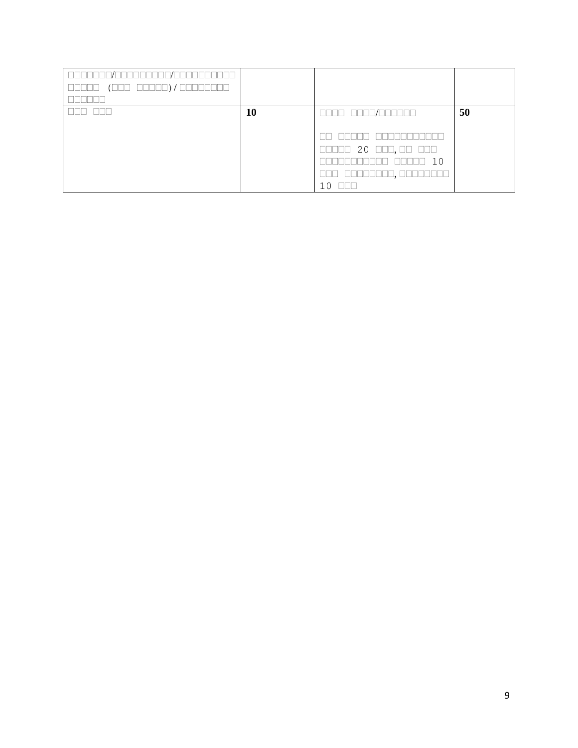| $( \hbox{ non non-} ) / \hbox{ non-} \hbox{ non-}$<br>88888 |    |                                                                                                                                                                                                                                                                                                                                                                                                                                                                                                                                                          |    |
|-------------------------------------------------------------|----|----------------------------------------------------------------------------------------------------------------------------------------------------------------------------------------------------------------------------------------------------------------------------------------------------------------------------------------------------------------------------------------------------------------------------------------------------------------------------------------------------------------------------------------------------------|----|
|                                                             |    |                                                                                                                                                                                                                                                                                                                                                                                                                                                                                                                                                          |    |
|                                                             | 10 | $\begin{array}{c} \textcolor{blue}{\textbf{m}} \textcolor{blue}{\textbf{m}} \textcolor{blue}{\textbf{m}} \textcolor{blue}{\textbf{m}} \textcolor{blue}{\textbf{m}} \textcolor{blue}{\textbf{m}} \textcolor{blue}{\textbf{m}} \textcolor{blue}{\textbf{m}} \textcolor{blue}{\textbf{m}} \textcolor{blue}{\textbf{m}} \textcolor{blue}{\textbf{m}} \textcolor{blue}{\textbf{m}} \textcolor{blue}{\textbf{m}} \textcolor{blue}{\textbf{m}} \textcolor{blue}{\textbf{m}} \textcolor{blue}{\textbf{m}} \textcolor{blue}{\textbf{m}} \textcolor{blue}{\textbf$ | 50 |
|                                                             |    |                                                                                                                                                                                                                                                                                                                                                                                                                                                                                                                                                          |    |
|                                                             |    |                                                                                                                                                                                                                                                                                                                                                                                                                                                                                                                                                          |    |
|                                                             |    | $\Box \Box \Box \Box$ 20 $\Box \Box$ , $\Box \Box$ $\Box \Box \Box$                                                                                                                                                                                                                                                                                                                                                                                                                                                                                      |    |
|                                                             |    | 10<br>$\Box\Box$<br>- 11 - 11                                                                                                                                                                                                                                                                                                                                                                                                                                                                                                                            |    |
|                                                             |    | وكاكا كالطاطاطات                                                                                                                                                                                                                                                                                                                                                                                                                                                                                                                                         |    |
|                                                             |    | <u>FIFIFI</u><br>10 <sup>1</sup>                                                                                                                                                                                                                                                                                                                                                                                                                                                                                                                         |    |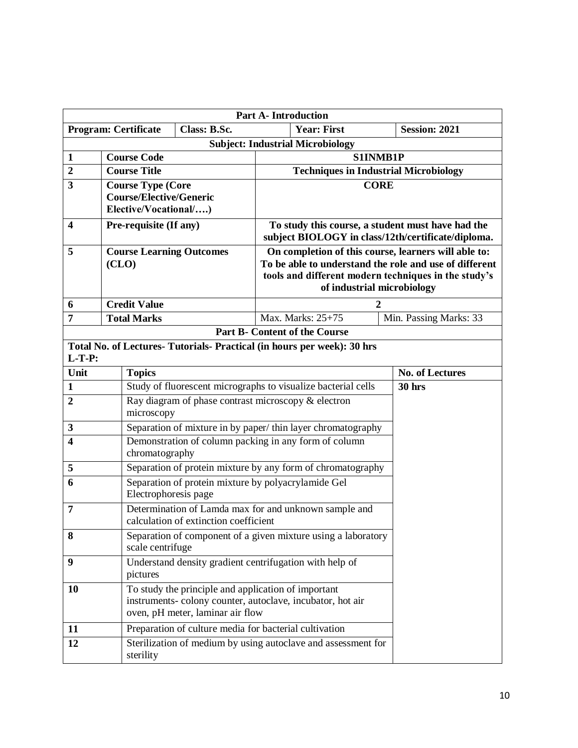|                         |                                                                                   |                                                                                                                                                      | <b>Part A-Introduction</b>                                                                              |  |                        |
|-------------------------|-----------------------------------------------------------------------------------|------------------------------------------------------------------------------------------------------------------------------------------------------|---------------------------------------------------------------------------------------------------------|--|------------------------|
|                         |                                                                                   | Class: B.Sc.<br><b>Program: Certificate</b>                                                                                                          | <b>Year: First</b>                                                                                      |  | <b>Session: 2021</b>   |
|                         |                                                                                   |                                                                                                                                                      | <b>Subject: Industrial Microbiology</b>                                                                 |  |                        |
| $\mathbf{1}$            |                                                                                   | <b>Course Code</b>                                                                                                                                   | S1INMB1P                                                                                                |  |                        |
| $\overline{2}$          |                                                                                   | <b>Course Title</b>                                                                                                                                  | <b>Techniques in Industrial Microbiology</b>                                                            |  |                        |
| 3                       |                                                                                   | <b>Course Type (Core</b>                                                                                                                             | <b>CORE</b>                                                                                             |  |                        |
|                         |                                                                                   | <b>Course/Elective/Generic</b>                                                                                                                       |                                                                                                         |  |                        |
|                         |                                                                                   | Elective/Vocational/)                                                                                                                                |                                                                                                         |  |                        |
| $\overline{\mathbf{4}}$ |                                                                                   | Pre-requisite (If any)                                                                                                                               | To study this course, a student must have had the<br>subject BIOLOGY in class/12th/certificate/diploma. |  |                        |
| 5                       |                                                                                   | <b>Course Learning Outcomes</b>                                                                                                                      | On completion of this course, learners will able to:                                                    |  |                        |
|                         |                                                                                   | (CLO)                                                                                                                                                | To be able to understand the role and use of different                                                  |  |                        |
|                         |                                                                                   |                                                                                                                                                      | tools and different modern techniques in the study's<br>of industrial microbiology                      |  |                        |
|                         |                                                                                   |                                                                                                                                                      |                                                                                                         |  |                        |
| 6<br>7                  |                                                                                   | <b>Credit Value</b><br><b>Total Marks</b>                                                                                                            | Max. Marks: 25+75                                                                                       |  | Min. Passing Marks: 33 |
|                         |                                                                                   |                                                                                                                                                      | <b>Part B- Content of the Course</b>                                                                    |  |                        |
|                         |                                                                                   | Total No. of Lectures- Tutorials- Practical (in hours per week): 30 hrs                                                                              |                                                                                                         |  |                        |
| $L-T-P$ :               |                                                                                   |                                                                                                                                                      |                                                                                                         |  |                        |
| Unit                    |                                                                                   | <b>Topics</b>                                                                                                                                        |                                                                                                         |  | <b>No. of Lectures</b> |
| $\mathbf{1}$            |                                                                                   |                                                                                                                                                      | Study of fluorescent micrographs to visualize bacterial cells                                           |  | <b>30 hrs</b>          |
| $\overline{2}$          | Ray diagram of phase contrast microscopy & electron                               |                                                                                                                                                      |                                                                                                         |  |                        |
|                         | microscopy                                                                        |                                                                                                                                                      |                                                                                                         |  |                        |
| $\mathbf{3}$            |                                                                                   |                                                                                                                                                      | Separation of mixture in by paper/thin layer chromatography                                             |  |                        |
| $\overline{\mathbf{4}}$ |                                                                                   | Demonstration of column packing in any form of column                                                                                                |                                                                                                         |  |                        |
|                         |                                                                                   | chromatography                                                                                                                                       |                                                                                                         |  |                        |
| 5                       |                                                                                   |                                                                                                                                                      | Separation of protein mixture by any form of chromatography                                             |  |                        |
| 6                       |                                                                                   | Separation of protein mixture by polyacrylamide Gel<br>Electrophoresis page                                                                          |                                                                                                         |  |                        |
| $\overline{7}$          |                                                                                   | Determination of Lamda max for and unknown sample and                                                                                                |                                                                                                         |  |                        |
|                         | calculation of extinction coefficient                                             |                                                                                                                                                      |                                                                                                         |  |                        |
| 8                       | Separation of component of a given mixture using a laboratory<br>scale centrifuge |                                                                                                                                                      |                                                                                                         |  |                        |
| 9                       |                                                                                   | Understand density gradient centrifugation with help of<br>pictures                                                                                  |                                                                                                         |  |                        |
| <b>10</b>               |                                                                                   | To study the principle and application of important<br>instruments-colony counter, autoclave, incubator, hot air<br>oven, pH meter, laminar air flow |                                                                                                         |  |                        |
| 11                      |                                                                                   | Preparation of culture media for bacterial cultivation                                                                                               |                                                                                                         |  |                        |
| 12                      |                                                                                   | sterility                                                                                                                                            | Sterilization of medium by using autoclave and assessment for                                           |  |                        |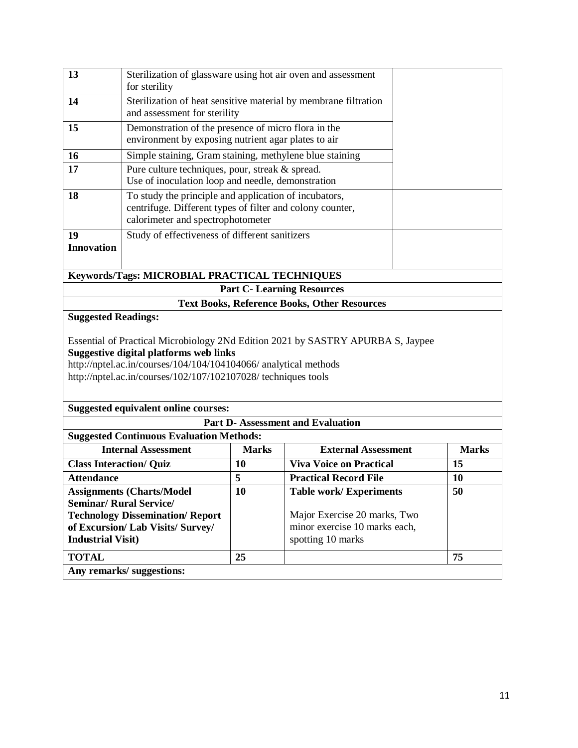| 13                             | Sterilization of glassware using hot air oven and assessment<br>for sterility                                                                                                                                                                                          |              |                                                     |  |              |  |
|--------------------------------|------------------------------------------------------------------------------------------------------------------------------------------------------------------------------------------------------------------------------------------------------------------------|--------------|-----------------------------------------------------|--|--------------|--|
| 14                             | Sterilization of heat sensitive material by membrane filtration<br>and assessment for sterility                                                                                                                                                                        |              |                                                     |  |              |  |
| 15                             | Demonstration of the presence of micro flora in the<br>environment by exposing nutrient agar plates to air                                                                                                                                                             |              |                                                     |  |              |  |
| 16                             | Simple staining, Gram staining, methylene blue staining                                                                                                                                                                                                                |              |                                                     |  |              |  |
| 17                             | Pure culture techniques, pour, streak & spread.<br>Use of inoculation loop and needle, demonstration                                                                                                                                                                   |              |                                                     |  |              |  |
| 18                             | To study the principle and application of incubators,<br>centrifuge. Different types of filter and colony counter,<br>calorimeter and spectrophotometer                                                                                                                |              |                                                     |  |              |  |
| 19                             | Study of effectiveness of different sanitizers                                                                                                                                                                                                                         |              |                                                     |  |              |  |
| <b>Innovation</b>              |                                                                                                                                                                                                                                                                        |              |                                                     |  |              |  |
|                                | Keywords/Tags: MICROBIAL PRACTICAL TECHNIQUES                                                                                                                                                                                                                          |              |                                                     |  |              |  |
|                                |                                                                                                                                                                                                                                                                        |              | <b>Part C- Learning Resources</b>                   |  |              |  |
|                                |                                                                                                                                                                                                                                                                        |              | <b>Text Books, Reference Books, Other Resources</b> |  |              |  |
| <b>Suggested Readings:</b>     |                                                                                                                                                                                                                                                                        |              |                                                     |  |              |  |
|                                | Essential of Practical Microbiology 2Nd Edition 2021 by SASTRY APURBA S, Jaypee<br><b>Suggestive digital platforms web links</b><br>http://nptel.ac.in/courses/104/104/104104066/ analytical methods<br>http://nptel.ac.in/courses/102/107/102107028/ techniques tools |              |                                                     |  |              |  |
|                                | <b>Suggested equivalent online courses:</b>                                                                                                                                                                                                                            |              |                                                     |  |              |  |
|                                |                                                                                                                                                                                                                                                                        |              | <b>Part D-Assessment and Evaluation</b>             |  |              |  |
|                                | <b>Suggested Continuous Evaluation Methods:</b>                                                                                                                                                                                                                        |              |                                                     |  |              |  |
|                                | <b>Internal Assessment</b>                                                                                                                                                                                                                                             | <b>Marks</b> | <b>External Assessment</b>                          |  | <b>Marks</b> |  |
| <b>Class Interaction/ Quiz</b> |                                                                                                                                                                                                                                                                        | 10           | <b>Viva Voice on Practical</b>                      |  | 15           |  |
| <b>Attendance</b>              | 5<br><b>Practical Record File</b>                                                                                                                                                                                                                                      |              |                                                     |  | 10           |  |
|                                | <b>Assignments (Charts/Model</b>                                                                                                                                                                                                                                       | 10           | Table work/Experiments                              |  | 50           |  |
|                                | <b>Seminar/ Rural Service/</b>                                                                                                                                                                                                                                         |              | Major Exercise 20 marks, Two                        |  |              |  |
|                                | <b>Technology Dissemination/ Report</b><br>of Excursion/ Lab Visits/ Survey/                                                                                                                                                                                           |              | minor exercise 10 marks each,                       |  |              |  |
| <b>Industrial Visit)</b>       |                                                                                                                                                                                                                                                                        |              | spotting 10 marks                                   |  |              |  |
| <b>TOTAL</b>                   |                                                                                                                                                                                                                                                                        | 25           |                                                     |  | 75           |  |
|                                | Any remarks/ suggestions:                                                                                                                                                                                                                                              |              |                                                     |  |              |  |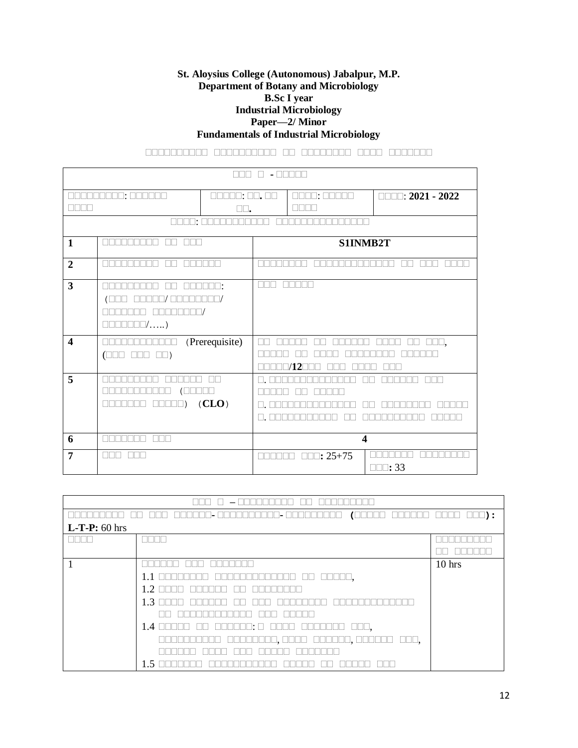#### **St. Aloysius College (Autonomous) Jabalpur, M.P. Department of Botany and Microbiology B.Sc I year Industrial Microbiology Paper—2/ Minor Fundamentals of Industrial Microbiology**

**सससससससससस सससससससससस सस सससससससस सससस ससससससस**

|                         | Пſ<br>.<br>$\blacksquare$                                          |                                                    |                   |                         |                                         |  |
|-------------------------|--------------------------------------------------------------------|----------------------------------------------------|-------------------|-------------------------|-----------------------------------------|--|
| TETE                    | NA SERIE STATISTI<br>Ш                                             | $\square\square$ : $\square\square$ .<br>TN<br>JL. | $\Box$            | IO: OOOON<br>Ш.         | $\square \square \square$ : 2021 - 2022 |  |
|                         | $\square\square\square\square$                                     |                                                    |                   | TERRET                  |                                         |  |
| $\mathbf{1}$            | NA NA NA NA<br>$\Box$<br><b>NNN</b>                                |                                                    |                   |                         | S1INMB2T                                |  |
| $\overline{2}$          |                                                                    |                                                    |                   |                         |                                         |  |
| $\mathbf{3}$            | $\Box$<br>$\square\square' \ldots$ .)<br>100 I                     | $\Box^{\ast}$<br>٦,                                | T<br>ш<br>ш<br>H. |                         |                                         |  |
| $\overline{\mathbf{4}}$ | <u> Literatur</u><br>$\square\square$ $\square\square$ )<br>$\Box$ | (Prerequisite)                                     |                   | /12                     | $\square\square\square,$                |  |
| 5                       | $\Box$ )                                                           | $\mathbb{I}$<br>(CLO)                              |                   |                         |                                         |  |
| 6                       | <u>TENTER</u><br><b>FIFIE</b>                                      |                                                    |                   |                         | $\overline{\mathbf{4}}$                 |  |
| $\overline{7}$          | T                                                                  |                                                    |                   | $\Box\Box$ : 25+75<br>T | $\square\square$ : 33                   |  |

|                 | (LLLLLL<br><u>Lilliyadd</u><br>⊥∐• l<br>⊥⊔• l<br>ш                                  | $\square\square\square$ ) :<br>كالحاكا |  |  |
|-----------------|-------------------------------------------------------------------------------------|----------------------------------------|--|--|
| $L-T-P: 60$ hrs |                                                                                     |                                        |  |  |
|                 |                                                                                     |                                        |  |  |
|                 |                                                                                     |                                        |  |  |
|                 |                                                                                     | $10$ hrs                               |  |  |
|                 | $\Box \Box \Box \Box \Box$<br>$1.1$ $\Box$<br>⊥∟                                    |                                        |  |  |
|                 | 1.2                                                                                 |                                        |  |  |
|                 | 1.3                                                                                 |                                        |  |  |
|                 |                                                                                     |                                        |  |  |
|                 | 1.4 <sub>1</sub><br>$\Box\Box\Box$ ,<br>NU SE E E E E E<br>$\mathbb{R}$<br>- 11 - 1 |                                        |  |  |
|                 | $\Box\Box\Box$ ,<br><u>UUUUO, OOOO   OOOOOO, OOOOOO</u><br>LI.                      |                                        |  |  |
|                 |                                                                                     |                                        |  |  |
|                 | 1.5                                                                                 |                                        |  |  |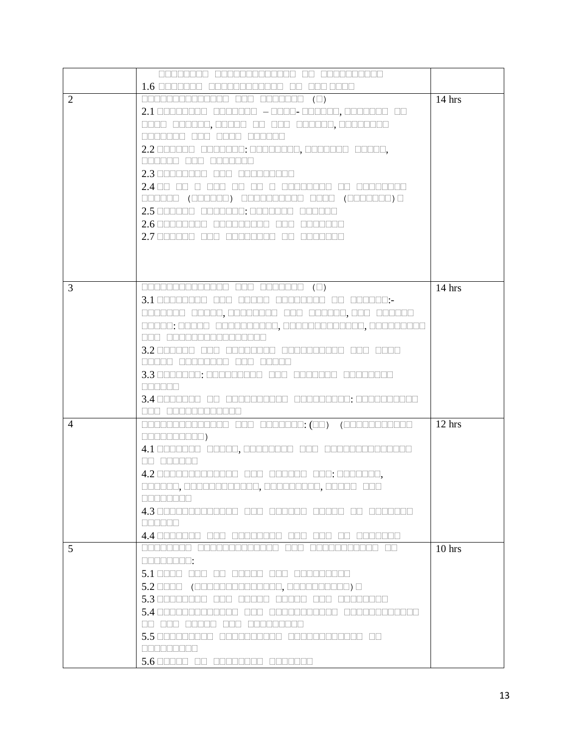|                | 00000000 0000000000000 00 000000000                                                                                                                                                                                                                                                                                                                                                                                                                                            |          |
|----------------|--------------------------------------------------------------------------------------------------------------------------------------------------------------------------------------------------------------------------------------------------------------------------------------------------------------------------------------------------------------------------------------------------------------------------------------------------------------------------------|----------|
|                | $1.6 \;$ communications $\overline{a}$<br><b>ODD ODDD</b><br>$\mathbf{1}$                                                                                                                                                                                                                                                                                                                                                                                                      |          |
| $\overline{2}$ |                                                                                                                                                                                                                                                                                                                                                                                                                                                                                | $14$ hrs |
|                | $2.1$ 00000000 0000000 –0000-000000,0000000 00                                                                                                                                                                                                                                                                                                                                                                                                                                 |          |
|                |                                                                                                                                                                                                                                                                                                                                                                                                                                                                                |          |
|                | 0000000 000 0000 000000                                                                                                                                                                                                                                                                                                                                                                                                                                                        |          |
|                | 2.2 000000 0000000: 00000000, 0000000 00000,                                                                                                                                                                                                                                                                                                                                                                                                                                   |          |
|                | TNT                                                                                                                                                                                                                                                                                                                                                                                                                                                                            |          |
|                |                                                                                                                                                                                                                                                                                                                                                                                                                                                                                |          |
|                | $2.4$ OD OD O OOD<br>00 0 00000000 00 00000000                                                                                                                                                                                                                                                                                                                                                                                                                                 |          |
|                | 000000 (000000) 0000000000 0000 (0000000) 0                                                                                                                                                                                                                                                                                                                                                                                                                                    |          |
|                | $2.5$ 000000 0000000: 0000000 000000                                                                                                                                                                                                                                                                                                                                                                                                                                           |          |
|                |                                                                                                                                                                                                                                                                                                                                                                                                                                                                                |          |
|                | 2.7 000000 000 00000000 00 0000000                                                                                                                                                                                                                                                                                                                                                                                                                                             |          |
|                |                                                                                                                                                                                                                                                                                                                                                                                                                                                                                |          |
|                |                                                                                                                                                                                                                                                                                                                                                                                                                                                                                |          |
|                |                                                                                                                                                                                                                                                                                                                                                                                                                                                                                |          |
| 3              | $\begin{tabular}{c} \multicolumn{1}{c}{\textbf{1}}\\ \multicolumn{1}{c}{\textbf{1}}\\ \multicolumn{1}{c}{\textbf{1}}\\ \multicolumn{1}{c}{\textbf{1}}\\ \multicolumn{1}{c}{\textbf{1}}\\ \multicolumn{1}{c}{\textbf{1}}\\ \multicolumn{1}{c}{\textbf{1}}\\ \multicolumn{1}{c}{\textbf{1}}\\ \multicolumn{1}{c}{\textbf{1}}\\ \multicolumn{1}{c}{\textbf{1}}\\ \multicolumn{1}{c}{\textbf{1}}\\ \multicolumn{1}{c}{\textbf{1}}\\ \multicolumn{1}{c}{\textbf{1}}\\ \multicolumn$ | $14$ hrs |
|                |                                                                                                                                                                                                                                                                                                                                                                                                                                                                                |          |
|                |                                                                                                                                                                                                                                                                                                                                                                                                                                                                                |          |
|                |                                                                                                                                                                                                                                                                                                                                                                                                                                                                                |          |
|                | 000 0000000000000000                                                                                                                                                                                                                                                                                                                                                                                                                                                           |          |
|                | $3.2$ $\Box$ $\Box$ $\Box$ $\Box$ $\Box$ $\Box$ $\Box$<br>1000000 00000000000 000 0000                                                                                                                                                                                                                                                                                                                                                                                         |          |
|                | <b>REFER EFFECTE</b>                                                                                                                                                                                                                                                                                                                                                                                                                                                           |          |
|                |                                                                                                                                                                                                                                                                                                                                                                                                                                                                                |          |
|                | <b>RANDRI</b>                                                                                                                                                                                                                                                                                                                                                                                                                                                                  |          |
|                |                                                                                                                                                                                                                                                                                                                                                                                                                                                                                |          |
| $\overline{4}$ | 888 88888888888                                                                                                                                                                                                                                                                                                                                                                                                                                                                | $12$ hrs |
|                | $\begin{picture}(20,20) \put(0,0){\dashbox{0.5}(1,0){ }} \put(15,0){\dashbox{0.5}(1,0){ }} \put(25,0){\dashbox{0.5}(1,0){ }} \put(35,0){\dashbox{0.5}(1,0){ }} \put(45,0){\dashbox{0.5}(1,0){ }} \put(55,0){\dashbox{0.5}(1,0){ }} \put(65,0){\dashbox{0.5}(1,0){ }} \put(65,0){\dashbox{0.5}(1,0){ }} \put(65,0){\dashbox{0.5}(1,0){ }} \put(65,0){\dashbox{0.5}(1,0){ }}$                                                                                                    |          |
|                |                                                                                                                                                                                                                                                                                                                                                                                                                                                                                |          |
|                | $\Box\Box$ $\Box\Box\Box\Box\Box\Box$                                                                                                                                                                                                                                                                                                                                                                                                                                          |          |
|                | 4.2 0000000000000 000 000000 000: 0000000,                                                                                                                                                                                                                                                                                                                                                                                                                                     |          |
|                | 000000,000000000000,000000000,00000 000                                                                                                                                                                                                                                                                                                                                                                                                                                        |          |
|                | e se se se se                                                                                                                                                                                                                                                                                                                                                                                                                                                                  |          |
|                |                                                                                                                                                                                                                                                                                                                                                                                                                                                                                |          |
|                | nn nn n                                                                                                                                                                                                                                                                                                                                                                                                                                                                        |          |
|                |                                                                                                                                                                                                                                                                                                                                                                                                                                                                                |          |
| 5              | FIREDRE FERENTIATION<br><u>FIFIFI</u><br>.<br>$\Box$                                                                                                                                                                                                                                                                                                                                                                                                                           | $10$ hrs |
|                | MARRER 19                                                                                                                                                                                                                                                                                                                                                                                                                                                                      |          |
|                | 5.1 0000 000 00 00000 000 00000000                                                                                                                                                                                                                                                                                                                                                                                                                                             |          |
|                | $5.2$ 0000 (0000000000000000, 0000000000) 0                                                                                                                                                                                                                                                                                                                                                                                                                                    |          |
|                | $5.3 \square \square \square \square \square \square \square$<br>ing anggo anggo ang ang                                                                                                                                                                                                                                                                                                                                                                                       |          |
|                | $5.4$ $\Box$ $\Box$<br>.                                                                                                                                                                                                                                                                                                                                                                                                                                                       |          |
|                | nn nnn                                                                                                                                                                                                                                                                                                                                                                                                                                                                         |          |
|                | $5.5$ $\Box$<br>an an an an an an an an a<br>ا تططح                                                                                                                                                                                                                                                                                                                                                                                                                            |          |
|                | <b>REBELLE</b>                                                                                                                                                                                                                                                                                                                                                                                                                                                                 |          |
|                | $5.6$ 00000 00 00000000 0000000                                                                                                                                                                                                                                                                                                                                                                                                                                                |          |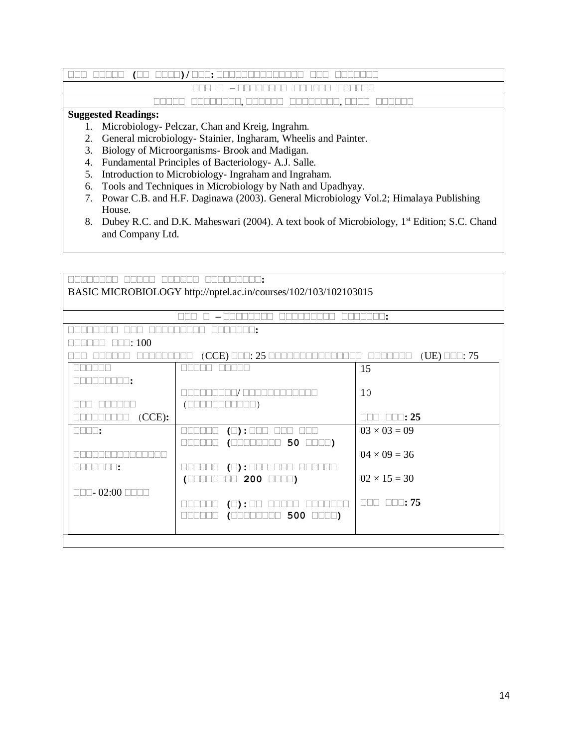### **ससस ससससस (सस सससस)/ ससस:** कककककककककककककक ककक ककककककक **ससस स – सससससससस सससससस सससससस**

# ककककक कककककककक, कककककक कककककककक, कककक कककककक

## **Suggested Readings:**

- 1. Microbiology- Pelczar, Chan and Kreig, Ingrahm.
- 2. General microbiology- Stainier, Ingharam, Wheelis and Painter.
- 3. Biology of Microorganisms- Brook and Madigan.
- 4. Fundamental Principles of Bacteriology- A.J. Salle.
- 5. Introduction to Microbiology- Ingraham and Ingraham.
- 6. Tools and Techniques in Microbiology by Nath and Upadhyay.
- 7. Powar C.B. and H.F. Daginawa (2003). General Microbiology Vol.2; Himalaya Publishing House.
- 8. Dubey R.C. and D.K. Maheswari (2004). A text book of Microbiology, 1<sup>st</sup> Edition; S.C. Chand and Company Ltd.

|                                                                | BASIC MICROBIOLOGY http://nptel.ac.in/courses/102/103/102103015 |                                               |
|----------------------------------------------------------------|-----------------------------------------------------------------|-----------------------------------------------|
|                                                                |                                                                 |                                               |
|                                                                |                                                                 |                                               |
|                                                                | H I 1                                                           |                                               |
| $\square\square$ : 100                                         |                                                                 |                                               |
|                                                                | $(CCE)$ $\square\square$ : 25 $\square$                         | $(UE)$ $\Box$ $\Box$ : 75<br>nn nn n<br>Пſ    |
|                                                                |                                                                 | 15                                            |
| TEE ER:                                                        |                                                                 |                                               |
|                                                                |                                                                 | 10                                            |
|                                                                |                                                                 |                                               |
| (CCE):                                                         |                                                                 | $\square\square$ : 25<br><u>NNU </u>          |
| $\Box \Box \Box \Box$ :                                        | $(\Box) : \Box \Box$                                            | $03 \times 03 = 09$                           |
|                                                                | 50<br>$\Box \Box \Box$<br>ℂ                                     |                                               |
|                                                                |                                                                 | $04 \times 09 = 36$                           |
| NNA TATIT :                                                    | $(\Box)$ : $\square \square \square$                            |                                               |
|                                                                | $200$ <b>III</b> )<br>$\sqrt{ }$<br>$\mathbb{H}$                | $02 \times 15 = 30$                           |
| $\square\square\square$ - 02:00 $\square\square\square\square$ |                                                                 |                                               |
|                                                                | $( \vert )$<br>$\cdot$                                          | $\square\square\square$ $\square\square$ : 75 |
|                                                                | $500$ $\Box$ $\Box$ )<br>الالحاك<br>$\Box$                      |                                               |
|                                                                |                                                                 |                                               |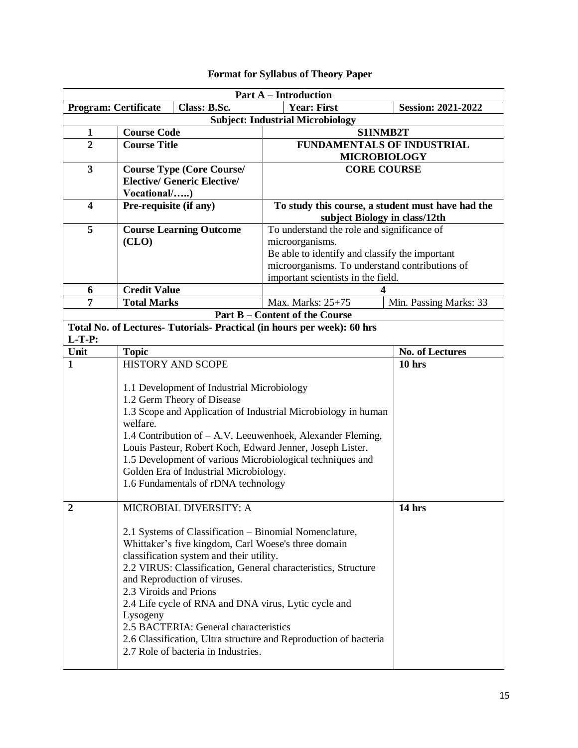# **Format for Syllabus of Theory Paper**

| <b>Part A – Introduction</b>          |                                                                         |                                                               |                           |  |  |  |  |
|---------------------------------------|-------------------------------------------------------------------------|---------------------------------------------------------------|---------------------------|--|--|--|--|
| <b>Program: Certificate</b>           | Class: B.Sc.                                                            | <b>Year: First</b>                                            | <b>Session: 2021-2022</b> |  |  |  |  |
|                                       | <b>Subject: Industrial Microbiology</b>                                 |                                                               |                           |  |  |  |  |
| $\mathbf{1}$                          | <b>Course Code</b>                                                      | S1INMB2T                                                      |                           |  |  |  |  |
| $\overline{2}$                        | <b>Course Title</b>                                                     | <b>FUNDAMENTALS OF INDUSTRIAL</b>                             |                           |  |  |  |  |
|                                       |                                                                         | <b>MICROBIOLOGY</b>                                           |                           |  |  |  |  |
| 3                                     | <b>Course Type (Core Course/</b>                                        | <b>CORE COURSE</b>                                            |                           |  |  |  |  |
|                                       | <b>Elective/ Generic Elective/</b>                                      |                                                               |                           |  |  |  |  |
|                                       | Vocational/)                                                            |                                                               |                           |  |  |  |  |
| $\overline{\mathbf{4}}$               | Pre-requisite (if any)                                                  | To study this course, a student must have had the             |                           |  |  |  |  |
| 5                                     |                                                                         | subject Biology in class/12th                                 |                           |  |  |  |  |
|                                       | <b>Course Learning Outcome</b>                                          | To understand the role and significance of<br>microorganisms. |                           |  |  |  |  |
|                                       | (CLO)                                                                   | Be able to identify and classify the important                |                           |  |  |  |  |
|                                       |                                                                         | microorganisms. To understand contributions of                |                           |  |  |  |  |
|                                       |                                                                         | important scientists in the field.                            |                           |  |  |  |  |
| 6                                     | <b>Credit Value</b>                                                     |                                                               |                           |  |  |  |  |
| 7                                     | <b>Total Marks</b>                                                      | Max. Marks: 25+75                                             | Min. Passing Marks: 33    |  |  |  |  |
| <b>Part B – Content of the Course</b> |                                                                         |                                                               |                           |  |  |  |  |
|                                       | Total No. of Lectures- Tutorials- Practical (in hours per week): 60 hrs |                                                               |                           |  |  |  |  |
| $L-T-P:$<br>Unit                      | <b>Topic</b>                                                            |                                                               | No. of Lectures           |  |  |  |  |
| $\mathbf{1}$                          | <b>HISTORY AND SCOPE</b>                                                |                                                               | $10$ hrs                  |  |  |  |  |
|                                       |                                                                         |                                                               |                           |  |  |  |  |
|                                       | 1.1 Development of Industrial Microbiology                              |                                                               |                           |  |  |  |  |
|                                       | 1.2 Germ Theory of Disease                                              |                                                               |                           |  |  |  |  |
|                                       | 1.3 Scope and Application of Industrial Microbiology in human           |                                                               |                           |  |  |  |  |
|                                       | welfare.                                                                |                                                               |                           |  |  |  |  |
|                                       | 1.4 Contribution of – A.V. Leeuwenhoek, Alexander Fleming,              |                                                               |                           |  |  |  |  |
|                                       | Louis Pasteur, Robert Koch, Edward Jenner, Joseph Lister.               |                                                               |                           |  |  |  |  |
|                                       | 1.5 Development of various Microbiological techniques and               |                                                               |                           |  |  |  |  |
|                                       | Golden Era of Industrial Microbiology.                                  |                                                               |                           |  |  |  |  |
|                                       | 1.6 Fundamentals of rDNA technology                                     |                                                               |                           |  |  |  |  |
| $\mathbf{2}$                          | MICROBIAL DIVERSITY: A                                                  |                                                               | 14 hrs                    |  |  |  |  |
|                                       |                                                                         |                                                               |                           |  |  |  |  |
|                                       | 2.1 Systems of Classification – Binomial Nomenclature,                  |                                                               |                           |  |  |  |  |
|                                       | Whittaker's five kingdom, Carl Woese's three domain                     |                                                               |                           |  |  |  |  |
|                                       | classification system and their utility.                                |                                                               |                           |  |  |  |  |
|                                       | 2.2 VIRUS: Classification, General characteristics, Structure           |                                                               |                           |  |  |  |  |
|                                       | and Reproduction of viruses.                                            |                                                               |                           |  |  |  |  |
|                                       | 2.3 Viroids and Prions                                                  |                                                               |                           |  |  |  |  |
|                                       | 2.4 Life cycle of RNA and DNA virus, Lytic cycle and                    |                                                               |                           |  |  |  |  |
|                                       | Lysogeny                                                                |                                                               |                           |  |  |  |  |
|                                       | 2.5 BACTERIA: General characteristics                                   |                                                               |                           |  |  |  |  |
|                                       | 2.6 Classification, Ultra structure and Reproduction of bacteria        |                                                               |                           |  |  |  |  |
|                                       | 2.7 Role of bacteria in Industries.                                     |                                                               |                           |  |  |  |  |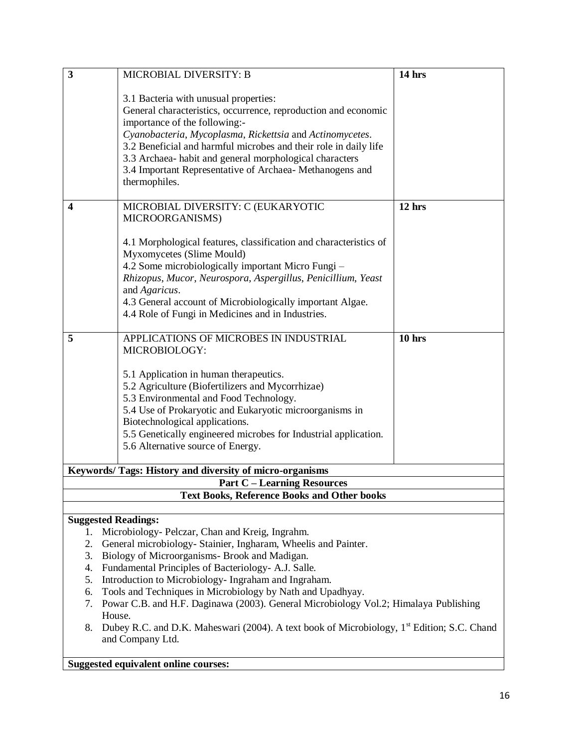| $\overline{\mathbf{3}}$    | MICROBIAL DIVERSITY: B                                                                                                      | 14 hrs   |  |  |  |
|----------------------------|-----------------------------------------------------------------------------------------------------------------------------|----------|--|--|--|
|                            |                                                                                                                             |          |  |  |  |
|                            | 3.1 Bacteria with unusual properties:                                                                                       |          |  |  |  |
|                            | General characteristics, occurrence, reproduction and economic                                                              |          |  |  |  |
|                            | importance of the following:-                                                                                               |          |  |  |  |
|                            | Cyanobacteria, Mycoplasma, Rickettsia and Actinomycetes.                                                                    |          |  |  |  |
|                            | 3.2 Beneficial and harmful microbes and their role in daily life<br>3.3 Archaea- habit and general morphological characters |          |  |  |  |
|                            | 3.4 Important Representative of Archaea- Methanogens and                                                                    |          |  |  |  |
|                            | thermophiles.                                                                                                               |          |  |  |  |
|                            |                                                                                                                             |          |  |  |  |
| $\boldsymbol{4}$           | MICROBIAL DIVERSITY: C (EUKARYOTIC                                                                                          | 12 hrs   |  |  |  |
|                            | MICROORGANISMS)                                                                                                             |          |  |  |  |
|                            |                                                                                                                             |          |  |  |  |
|                            | 4.1 Morphological features, classification and characteristics of                                                           |          |  |  |  |
|                            | Myxomycetes (Slime Mould)                                                                                                   |          |  |  |  |
|                            | 4.2 Some microbiologically important Micro Fungi -                                                                          |          |  |  |  |
|                            | Rhizopus, Mucor, Neurospora, Aspergillus, Penicillium, Yeast                                                                |          |  |  |  |
|                            | and Agaricus.                                                                                                               |          |  |  |  |
|                            | 4.3 General account of Microbiologically important Algae.                                                                   |          |  |  |  |
|                            | 4.4 Role of Fungi in Medicines and in Industries.                                                                           |          |  |  |  |
| 5                          | APPLICATIONS OF MICROBES IN INDUSTRIAL                                                                                      | $10$ hrs |  |  |  |
|                            | MICROBIOLOGY:                                                                                                               |          |  |  |  |
|                            |                                                                                                                             |          |  |  |  |
|                            | 5.1 Application in human therapeutics.                                                                                      |          |  |  |  |
|                            | 5.2 Agriculture (Biofertilizers and Mycorrhizae)                                                                            |          |  |  |  |
|                            | 5.3 Environmental and Food Technology.                                                                                      |          |  |  |  |
|                            | 5.4 Use of Prokaryotic and Eukaryotic microorganisms in                                                                     |          |  |  |  |
|                            | Biotechnological applications.                                                                                              |          |  |  |  |
|                            | 5.5 Genetically engineered microbes for Industrial application.                                                             |          |  |  |  |
|                            | 5.6 Alternative source of Energy.                                                                                           |          |  |  |  |
|                            | Keywords/ Tags: History and diversity of micro-organisms                                                                    |          |  |  |  |
|                            | <b>Part C – Learning Resources</b>                                                                                          |          |  |  |  |
|                            | <b>Text Books, Reference Books and Other books</b>                                                                          |          |  |  |  |
|                            |                                                                                                                             |          |  |  |  |
| <b>Suggested Readings:</b> |                                                                                                                             |          |  |  |  |
| 1.                         | Microbiology- Pelczar, Chan and Kreig, Ingrahm.                                                                             |          |  |  |  |
|                            | 2.<br>General microbiology- Stainier, Ingharam, Wheelis and Painter.                                                        |          |  |  |  |
| 3.                         | Biology of Microorganisms- Brook and Madigan.                                                                               |          |  |  |  |
| 4.                         | Fundamental Principles of Bacteriology- A.J. Salle.                                                                         |          |  |  |  |
| 5.                         | Introduction to Microbiology- Ingraham and Ingraham.                                                                        |          |  |  |  |
| 6.                         | Tools and Techniques in Microbiology by Nath and Upadhyay.                                                                  |          |  |  |  |
| 7.                         | Powar C.B. and H.F. Daginawa (2003). General Microbiology Vol.2; Himalaya Publishing                                        |          |  |  |  |
| 8.                         | House.<br>Dubey R.C. and D.K. Maheswari (2004). A text book of Microbiology, 1 <sup>st</sup> Edition; S.C. Chand            |          |  |  |  |

and Company Ltd.

**Suggested equivalent online courses:**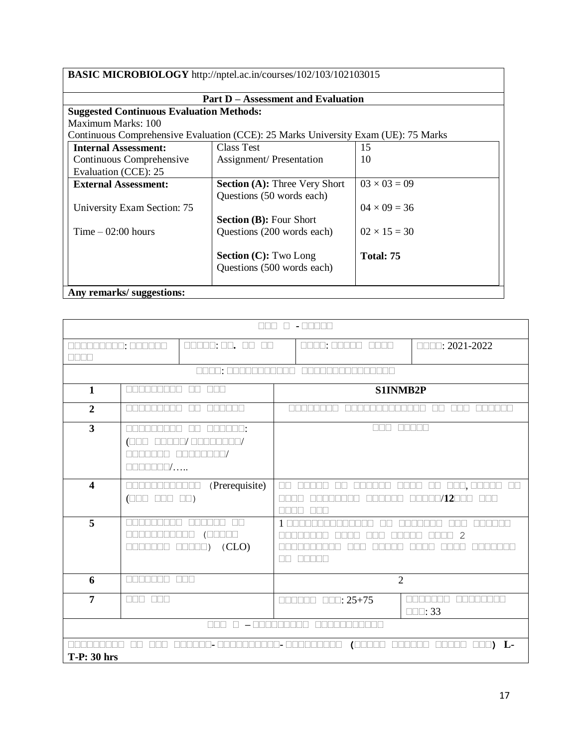| BASIC MICROBIOLOGY http://nptel.ac.in/courses/102/103/102103015 |                                                                                    |                     |  |  |  |  |
|-----------------------------------------------------------------|------------------------------------------------------------------------------------|---------------------|--|--|--|--|
|                                                                 | <b>Part D - Assessment and Evaluation</b>                                          |                     |  |  |  |  |
|                                                                 | <b>Suggested Continuous Evaluation Methods:</b>                                    |                     |  |  |  |  |
| Maximum Marks: 100                                              |                                                                                    |                     |  |  |  |  |
|                                                                 | Continuous Comprehensive Evaluation (CCE): 25 Marks University Exam (UE): 75 Marks |                     |  |  |  |  |
| <b>Internal Assessment:</b>                                     | Class Test                                                                         | 15                  |  |  |  |  |
| Continuous Comprehensive                                        | <b>Assignment/Presentation</b>                                                     | 10                  |  |  |  |  |
| Evaluation (CCE): 25                                            |                                                                                    |                     |  |  |  |  |
| <b>External Assessment:</b>                                     | <b>Section (A): Three Very Short</b>                                               | $03 \times 03 = 09$ |  |  |  |  |
|                                                                 | Questions (50 words each)                                                          |                     |  |  |  |  |
| University Exam Section: 75                                     |                                                                                    | $04 \times 09 = 36$ |  |  |  |  |
|                                                                 | <b>Section (B): Four Short</b>                                                     |                     |  |  |  |  |
| Time $-02:00$ hours                                             | Questions (200 words each)                                                         | $02 \times 15 = 30$ |  |  |  |  |
|                                                                 |                                                                                    |                     |  |  |  |  |
|                                                                 | <b>Section (C): Two Long</b>                                                       | Total: 75           |  |  |  |  |
|                                                                 | Questions (500 words each)                                                         |                     |  |  |  |  |
|                                                                 |                                                                                    |                     |  |  |  |  |
| Any remarks/suggestions:                                        |                                                                                    |                     |  |  |  |  |

|                                                                                       | $-$ manner<br>1                                                                                                                                                                                     |                         |  |                                            |                        |                                                                        |
|---------------------------------------------------------------------------------------|-----------------------------------------------------------------------------------------------------------------------------------------------------------------------------------------------------|-------------------------|--|--------------------------------------------|------------------------|------------------------------------------------------------------------|
| $\Box \Box \Box \Box \Box$ $\Box \Box$ $\Box \Box$<br>10000000: 000000<br><u>nn m</u> |                                                                                                                                                                                                     |                         |  | 8888: 88888 8888                           |                        | $\Box$ $\Box$ : 2021-2022                                              |
|                                                                                       |                                                                                                                                                                                                     | MANA: MANAMANANA        |  |                                            |                        |                                                                        |
| $\mathbf{1}$                                                                          | $\Box$<br><b>nat</b><br>Mala Mala Mala M                                                                                                                                                            |                         |  | S1INMB2P                                   |                        |                                                                        |
| $\overline{2}$                                                                        | <b>REBERTE</b>                                                                                                                                                                                      | $\Box$<br><b>RANDRA</b> |  | FINARIA                                    | n in in in in in in in | <u>FITTI</u><br>$\mathbb{R}$                                           |
| $\overline{\mathbf{3}}$                                                               | <u>nnn</u><br><u>FIFITIN</u><br>TN:<br>$\Box$<br>$\Box$                                                                                                                                             |                         |  |                                            |                        |                                                                        |
| $\overline{\mathbf{4}}$                                                               | (Prerequisite)<br>ПП<br>$\Box\Box$<br><u> 2012 - 2013 - 2014 - 20</u><br>ПП<br>ПГ<br>$\mathbb{R}$<br>$\Box$ /12 $\Box$ $\Box$<br>$(\Box \Box \Box \Box \Box \Box \Box \Box \Box))$<br><u>FIFIFI</u> |                         |  | 000,00000 00                               |                        |                                                                        |
| $\overline{5}$                                                                        | TERRET<br>2<br>(CLO)<br>- 11 - 11<br>$\Box$<br>nn nn n<br>H                                                                                                                                         |                         |  |                                            |                        |                                                                        |
| 6                                                                                     | nn nn nn n                                                                                                                                                                                          | <b>NNN</b>              |  |                                            | $\overline{2}$         |                                                                        |
| $\overline{7}$                                                                        | <b>FIFITI</b><br><u>FFFF</u>                                                                                                                                                                        |                         |  | $\Box \Box :: 25 + 75$<br><u>ononia a </u> |                        | <b>RANDRA</b><br><u>Finning and the state</u><br>$\square\square$ : 33 |
| <u>n – annonomo annonomo</u> n<br>nnn.                                                |                                                                                                                                                                                                     |                         |  |                                            |                        |                                                                        |
| L-<br>$\sqrt{2}$<br>TN<br>$\blacksquare$<br>$\Box \Box \Box$<br><b>T-P: 30 hrs</b>    |                                                                                                                                                                                                     |                         |  |                                            |                        |                                                                        |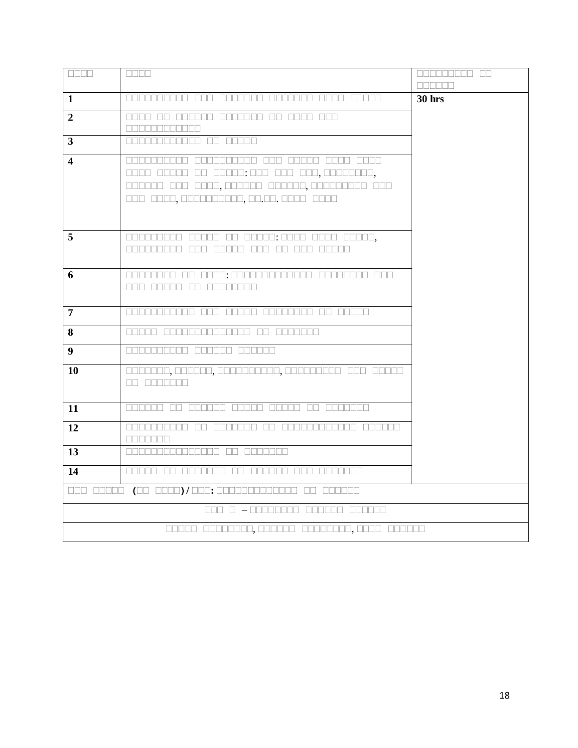| ONNE             | an an                                                                              | 888888888 88<br><b>REBER</b> |
|------------------|------------------------------------------------------------------------------------|------------------------------|
| 1                |                                                                                    | <b>30 hrs</b>                |
| $\overline{2}$   | 0000 00 000000 0000000 00 0000 000<br><b>REBEREE BEER</b>                          |                              |
| 3                | 000000000000 00 00000                                                              |                              |
| 4                | 000000 000 0000,000000 000000,00000000 000<br>000 0000,0000000000,00.00.000 0000   |                              |
| 5                | 000000000 00000 00 00000: 0000 0000 00000,<br>anananan ang anggala ang ang anggala |                              |
| 6                | 000 00000 00 0000000                                                               |                              |
| 7                | 00000000000 000 00000 00000000 00 00000                                            |                              |
| 8                | 00000 00000000000000 00 0000000                                                    |                              |
| $\boldsymbol{9}$ | 0000000000 000000 000000                                                           |                              |
| 10               | 0000000,000000,0000000000,000000000 000 00000<br>OD ODDOODO                        |                              |
| 11               | 000000 00 000000 00000 00000 00 000000                                             |                              |
| 12               | <u>anananan an ananan an ananananan ananan </u><br><b>BEBEERS</b>                  |                              |
| 13               |                                                                                    |                              |
| 14               | 00000 00 0000000 00 000000 000 0000000                                             |                              |
|                  | 000 00000 (00 0000)/000;0000000000000 00 000000                                    |                              |
|                  |                                                                                    |                              |
|                  |                                                                                    |                              |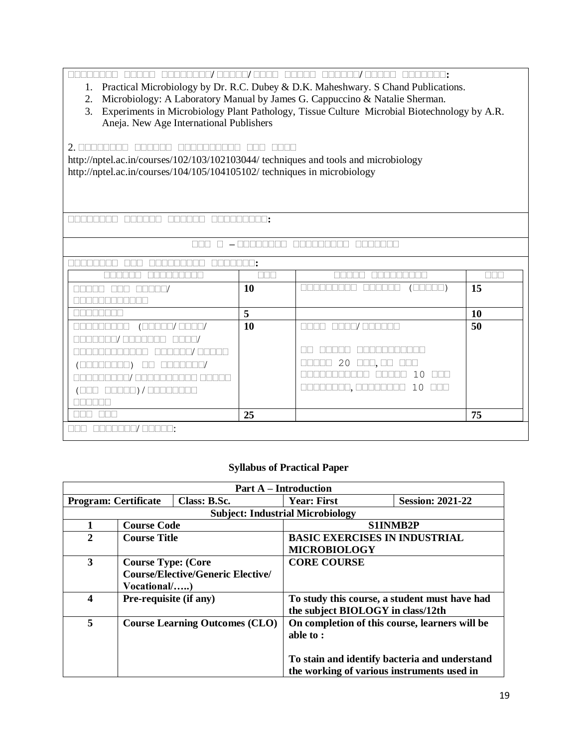**सससससससस ससससस सससससससस/ ससससस/ सससस ससससस सससससस/ ससससस ससससससस:**

- 1. Practical Microbiology by Dr. R.C. Dubey & D.K. Maheshwary. S Chand Publications.
- 2. Microbiology: A Laboratory Manual by James G. Cappuccino & Natalie Sherman.

3. Experiments in Microbiology Plant Pathology, Tissue Culture Microbial Biotechnology by A.R. Aneja. New Age International Publishers

#### 2. **सससससससस सससससस सससससससससस ससस सससस**

http://nptel.ac.in/courses/102/103/102103044/ techniques and tools and microbiology http://nptel.ac.in/courses/104/105/104105102/ techniques in microbiology

**सससससससस सससससस सससससस ससससससससस:**

#### **ससस स – सससससससस ससससससससस ससससससस**

|                                                                    | <b>10</b> | ( UUUUU )                               | 15        |
|--------------------------------------------------------------------|-----------|-----------------------------------------|-----------|
|                                                                    |           |                                         |           |
|                                                                    | 5         |                                         | <b>10</b> |
| $(\Box\Box\Box\Box\Box/\Box\Box\Box\Box)$<br><u> E E E E E E E</u> | <b>10</b> | nono anno/annon                         | 50        |
| $\Box \Box \Box \Box$                                              |           |                                         |           |
| والماحات<br><u>inn minn a s</u><br><b>FREE THAT A</b>              |           |                                         |           |
|                                                                    |           | $20$ on, on<br>$\Box\Box$<br>a da k     |           |
|                                                                    |           | $10$ $\Pi$<br>.                         |           |
| (000 00000) / 00000000                                             |           | 10<br>30000000, 00000000<br><u>anna</u> |           |
|                                                                    |           |                                         |           |
|                                                                    | 25        |                                         | 75        |
| ╖╕                                                                 |           |                                         |           |

### **Syllabus of Practical Paper**

| <b>Part A</b> – Introduction            |                                       |                                               |                                                |                         |  |
|-----------------------------------------|---------------------------------------|-----------------------------------------------|------------------------------------------------|-------------------------|--|
| <b>Program: Certificate</b>             |                                       | Class: B.Sc.                                  | <b>Year: First</b>                             | <b>Session: 2021-22</b> |  |
| <b>Subject: Industrial Microbiology</b> |                                       |                                               |                                                |                         |  |
| <b>Course Code</b>                      |                                       | <b>S1INMB2P</b>                               |                                                |                         |  |
| 2<br><b>Course Title</b>                |                                       | <b>BASIC EXERCISES IN INDUSTRIAL</b>          |                                                |                         |  |
|                                         |                                       | <b>MICROBIOLOGY</b>                           |                                                |                         |  |
| 3                                       | <b>Course Type: (Core</b>             |                                               | <b>CORE COURSE</b>                             |                         |  |
|                                         |                                       | <b>Course/Elective/Generic Elective/</b>      |                                                |                         |  |
|                                         | Vocational/)                          |                                               |                                                |                         |  |
| 4<br>Pre-requisite (if any)             |                                       | To study this course, a student must have had |                                                |                         |  |
|                                         |                                       |                                               | the subject BIOLOGY in class/12th              |                         |  |
| 5                                       | <b>Course Learning Outcomes (CLO)</b> |                                               | On completion of this course, learners will be |                         |  |
|                                         |                                       |                                               | able to:                                       |                         |  |
|                                         |                                       |                                               |                                                |                         |  |
|                                         |                                       |                                               | To stain and identify bacteria and understand  |                         |  |
|                                         |                                       |                                               | the working of various instruments used in     |                         |  |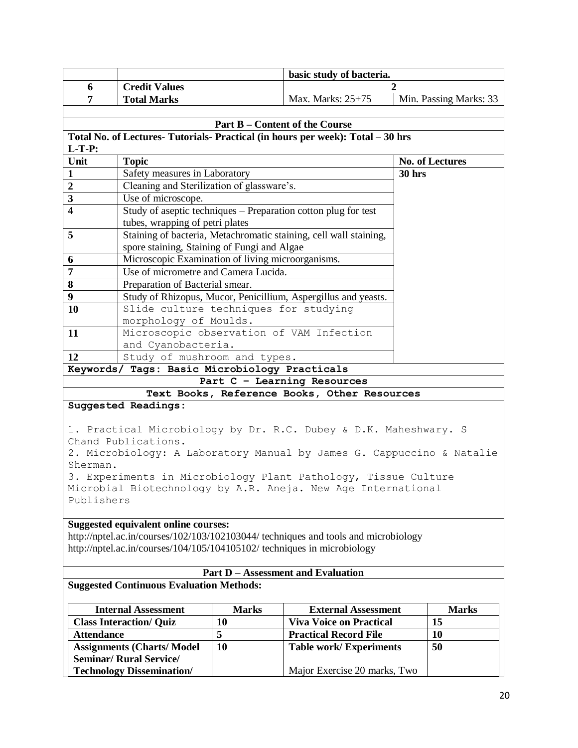|                                                                                                                                |                                                                          |              | basic study of bacteria.                                                            |               |                        |  |
|--------------------------------------------------------------------------------------------------------------------------------|--------------------------------------------------------------------------|--------------|-------------------------------------------------------------------------------------|---------------|------------------------|--|
| 6                                                                                                                              | <b>Credit Values</b>                                                     |              |                                                                                     |               |                        |  |
| 7                                                                                                                              | <b>Total Marks</b>                                                       |              | Max. Marks: 25+75                                                                   |               | Min. Passing Marks: 33 |  |
|                                                                                                                                |                                                                          |              |                                                                                     |               |                        |  |
|                                                                                                                                |                                                                          |              | <b>Part B – Content of the Course</b>                                               |               |                        |  |
|                                                                                                                                |                                                                          |              | Total No. of Lectures- Tutorials- Practical (in hours per week): Total - 30 hrs     |               |                        |  |
| $L-T-P:$                                                                                                                       |                                                                          |              |                                                                                     |               |                        |  |
| Unit                                                                                                                           | <b>Topic</b>                                                             |              |                                                                                     |               | No. of Lectures        |  |
| $\mathbf{1}$                                                                                                                   | Safety measures in Laboratory                                            |              |                                                                                     | <b>30 hrs</b> |                        |  |
| $\overline{2}$                                                                                                                 | Cleaning and Sterilization of glassware's.                               |              |                                                                                     |               |                        |  |
| 3                                                                                                                              | Use of microscope.                                                       |              |                                                                                     |               |                        |  |
| $\overline{\mathbf{4}}$                                                                                                        |                                                                          |              | Study of aseptic techniques – Preparation cotton plug for test                      |               |                        |  |
|                                                                                                                                | tubes, wrapping of petri plates                                          |              |                                                                                     |               |                        |  |
| 5                                                                                                                              |                                                                          |              | Staining of bacteria, Metachromatic staining, cell wall staining,                   |               |                        |  |
|                                                                                                                                | spore staining, Staining of Fungi and Algae                              |              |                                                                                     |               |                        |  |
| 6                                                                                                                              | Microscopic Examination of living microorganisms.                        |              |                                                                                     |               |                        |  |
| 7                                                                                                                              | Use of micrometre and Camera Lucida.                                     |              |                                                                                     |               |                        |  |
| 8                                                                                                                              | Preparation of Bacterial smear.                                          |              |                                                                                     |               |                        |  |
| 9                                                                                                                              |                                                                          |              | Study of Rhizopus, Mucor, Penicillium, Aspergillus and yeasts.                      |               |                        |  |
| 10                                                                                                                             | Slide culture techniques for studying                                    |              |                                                                                     |               |                        |  |
|                                                                                                                                | morphology of Moulds.                                                    |              |                                                                                     |               |                        |  |
| 11                                                                                                                             |                                                                          |              | Microscopic observation of VAM Infection                                            |               |                        |  |
|                                                                                                                                | and Cyanobacteria.                                                       |              |                                                                                     |               |                        |  |
| 12                                                                                                                             | Study of mushroom and types.                                             |              |                                                                                     |               |                        |  |
|                                                                                                                                | Keywords/ Tags: Basic Microbiology Practicals                            |              |                                                                                     |               |                        |  |
|                                                                                                                                |                                                                          |              | Part C - Learning Resources                                                         |               |                        |  |
|                                                                                                                                |                                                                          |              | Text Books, Reference Books, Other Resources                                        |               |                        |  |
|                                                                                                                                | <b>Suggested Readings:</b>                                               |              |                                                                                     |               |                        |  |
|                                                                                                                                |                                                                          |              |                                                                                     |               |                        |  |
|                                                                                                                                | Chand Publications.                                                      |              | 1. Practical Microbiology by Dr. R.C. Dubey & D.K. Maheshwary. S                    |               |                        |  |
|                                                                                                                                |                                                                          |              | 2. Microbiology: A Laboratory Manual by James G. Cappuccino & Natalie               |               |                        |  |
| Sherman.                                                                                                                       |                                                                          |              |                                                                                     |               |                        |  |
|                                                                                                                                |                                                                          |              |                                                                                     |               |                        |  |
| 3. Experiments in Microbiology Plant Pathology, Tissue Culture<br>Microbial Biotechnology by A.R. Aneja. New Age International |                                                                          |              |                                                                                     |               |                        |  |
|                                                                                                                                |                                                                          |              |                                                                                     |               |                        |  |
|                                                                                                                                |                                                                          |              |                                                                                     |               |                        |  |
| Publishers                                                                                                                     |                                                                          |              |                                                                                     |               |                        |  |
|                                                                                                                                |                                                                          |              |                                                                                     |               |                        |  |
|                                                                                                                                | <b>Suggested equivalent online courses:</b>                              |              |                                                                                     |               |                        |  |
|                                                                                                                                | http://nptel.ac.in/courses/104/105/104105102/ techniques in microbiology |              | http://nptel.ac.in/courses/102/103/102103044/ techniques and tools and microbiology |               |                        |  |
|                                                                                                                                |                                                                          |              |                                                                                     |               |                        |  |
|                                                                                                                                |                                                                          |              | <b>Part D - Assessment and Evaluation</b>                                           |               |                        |  |
|                                                                                                                                | <b>Suggested Continuous Evaluation Methods:</b>                          |              |                                                                                     |               |                        |  |
|                                                                                                                                |                                                                          |              |                                                                                     |               |                        |  |
|                                                                                                                                | <b>Internal Assessment</b>                                               | <b>Marks</b> | <b>External Assessment</b>                                                          |               | <b>Marks</b>           |  |
|                                                                                                                                | <b>Class Interaction/ Quiz</b>                                           | 10           | <b>Viva Voice on Practical</b>                                                      |               | 15                     |  |
| <b>Attendance</b>                                                                                                              |                                                                          | 5            | <b>Practical Record File</b>                                                        |               | 10                     |  |
|                                                                                                                                | <b>Assignments (Charts/Model</b><br><b>Seminar/ Rural Service/</b>       | 10           | <b>Table work/Experiments</b>                                                       |               | 50                     |  |